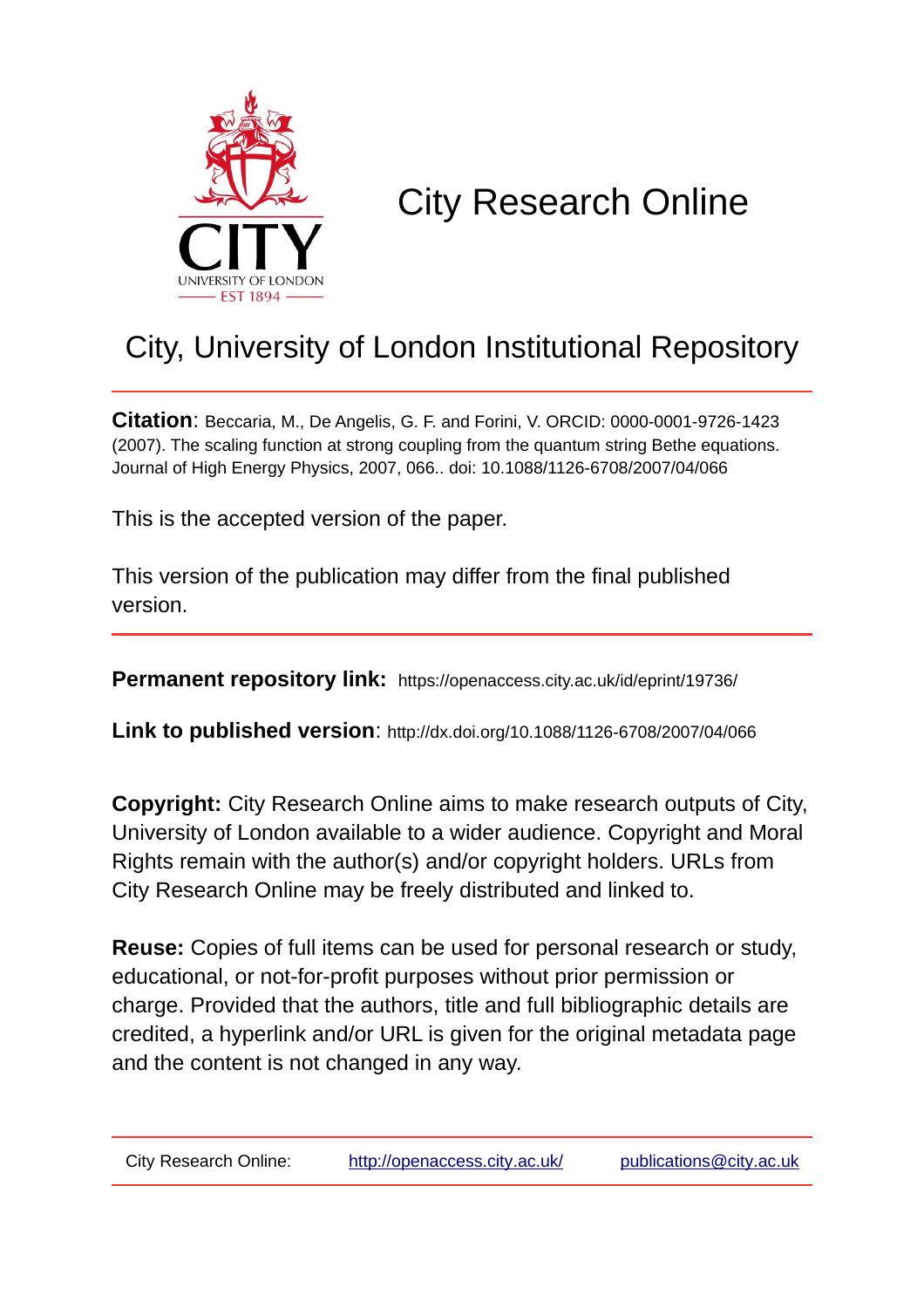

# City Research Online

## City, University of London Institutional Repository

**Citation**: Beccaria, M., De Angelis, G. F. and Forini, V. ORCID: 0000-0001-9726-1423 (2007). The scaling function at strong coupling from the quantum string Bethe equations. Journal of High Energy Physics, 2007, 066.. doi: 10.1088/1126-6708/2007/04/066

This is the accepted version of the paper.

This version of the publication may differ from the final published version.

**Permanent repository link:** https://openaccess.city.ac.uk/id/eprint/19736/

**Link to published version**: http://dx.doi.org/10.1088/1126-6708/2007/04/066

**Copyright:** City Research Online aims to make research outputs of City, University of London available to a wider audience. Copyright and Moral Rights remain with the author(s) and/or copyright holders. URLs from City Research Online may be freely distributed and linked to.

**Reuse:** Copies of full items can be used for personal research or study, educational, or not-for-profit purposes without prior permission or charge. Provided that the authors, title and full bibliographic details are credited, a hyperlink and/or URL is given for the original metadata page and the content is not changed in any way.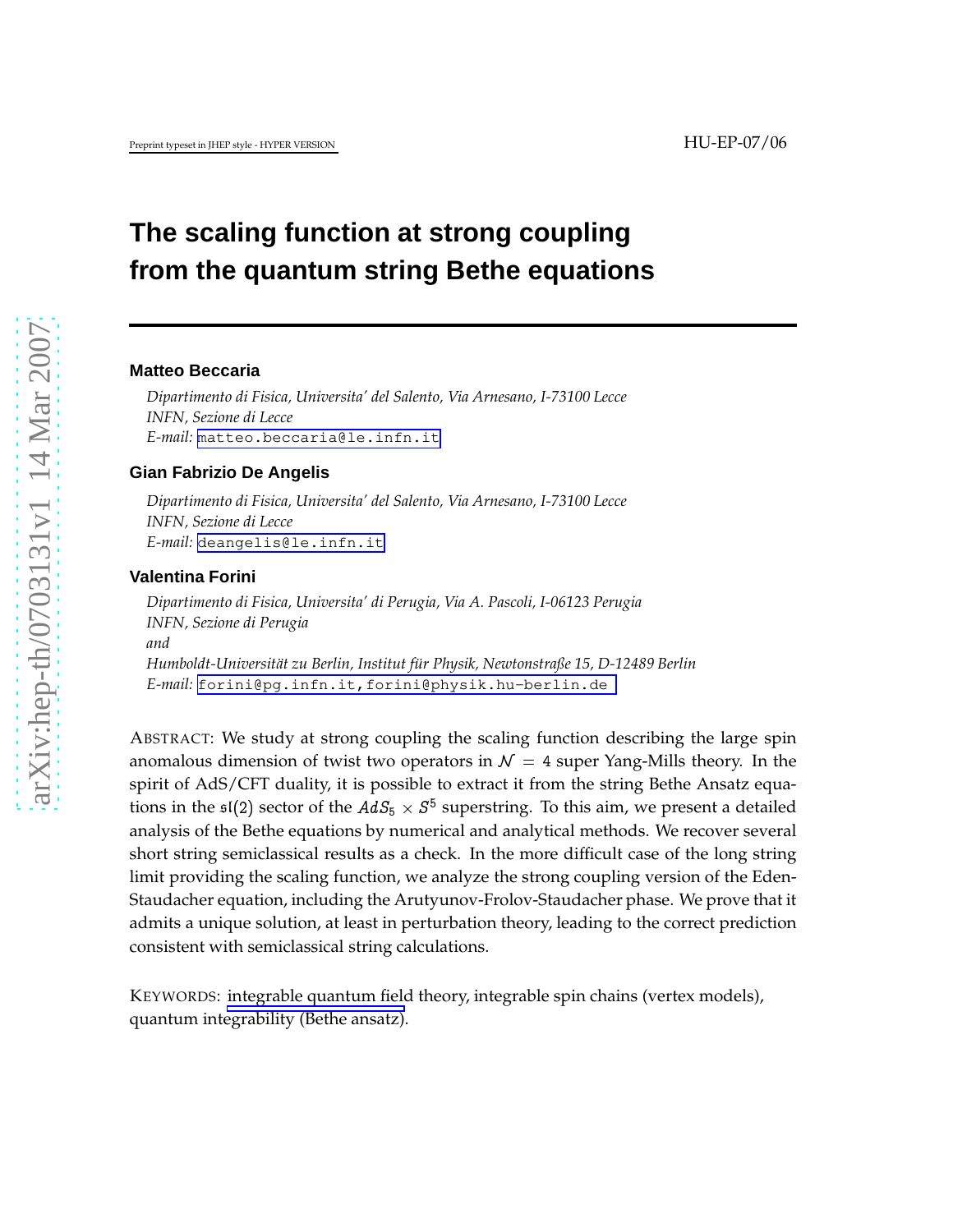### **The scaling function at strong coupling from the quantum string Bethe equations**

#### **Matteo Beccaria**

*Dipartimento di Fisica, Universita' del Salento, Via Arnesano, I-73100 Lecce INFN, Sezione di Lecce E-mail:* [matteo.beccaria@le.infn.it](mailto:matteo.beccaria@le.infn.it)

#### **Gian Fabrizio De Angelis**

*Dipartimento di Fisica, Universita' del Salento, Via Arnesano, I-73100 Lecce INFN, Sezione di Lecce E-mail:* [deangelis@le.infn.it](mailto:deangelis@le.infn.it)

#### **Valentina Forini**

*Dipartimento di Fisica, Universita' di Perugia, Via A. Pascoli, I-06123 Perugia INFN, Sezione di Perugia and Humboldt-Universit¨at zu Berlin, Institut f ¨ur Physik, Newtonstraße 15, D-12489 Berlin E-mail:* [forini@pg.infn.it,forini@physik.hu-berlin.de](mailto:forini@pg.infn.it,forini@physik.hu-berlin.de )

ABSTRACT: We study at strong coupling the scaling function describing the large spin anomalous dimension of twist two operators in  $\mathcal{N} = 4$  super Yang-Mills theory. In the spirit of AdS/CFT duality, it is possible to extract it from the string Bethe Ansatz equations in the  $\mathfrak{sl}(2)$  sector of the  $AdS_5 \times S^5$  superstring. To this aim, we present a detailed analysis of the Bethe equations by numerical and analytical methods. We recover several short string semiclassical results as a check. In the more difficult case of the long string limit providing the scaling function, we analyze the strong coupling version of the Eden-Staudacher equation, including the Arutyunov-Frolov-Staudacher phase. We prove that it admits a unique solution, at least in perturbation theory, leading to the correct prediction consistent with semiclassical string calculations.

KEYWORDS: integrable quantum field theory, integrable spin chains (vertex models), quantum integrability (Bethe ansatz).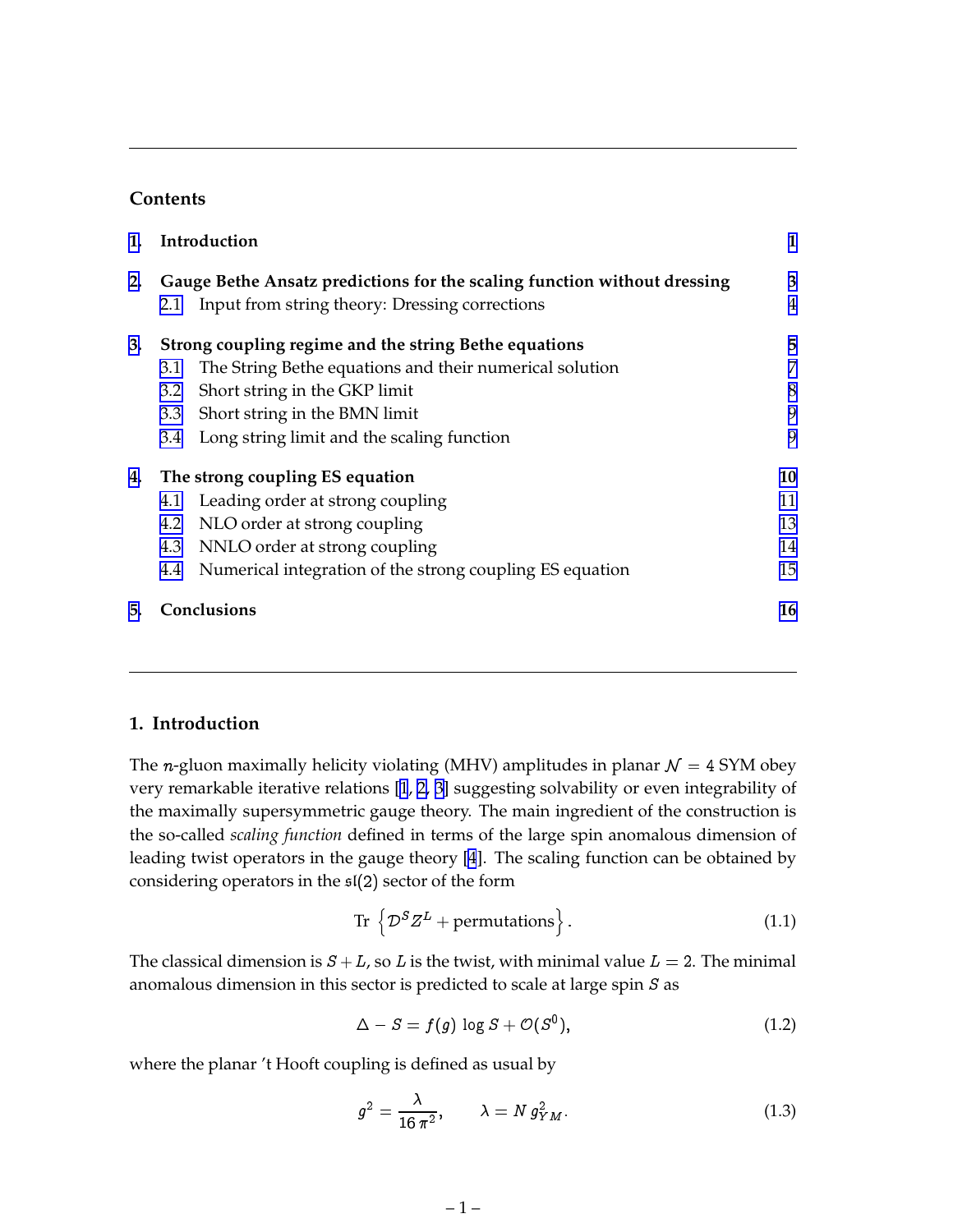#### **Contents**

| 1. |                                                                          | Introduction                                             | 1  |  |  |  |
|----|--------------------------------------------------------------------------|----------------------------------------------------------|----|--|--|--|
| 2. | Gauge Bethe Ansatz predictions for the scaling function without dressing |                                                          |    |  |  |  |
|    | 2.1                                                                      | Input from string theory: Dressing corrections           | 4  |  |  |  |
| 3. | Strong coupling regime and the string Bethe equations                    |                                                          |    |  |  |  |
|    | 3.1                                                                      | The String Bethe equations and their numerical solution  | 7  |  |  |  |
|    | 3.2                                                                      | Short string in the GKP limit                            | 8  |  |  |  |
|    | 3.3                                                                      | Short string in the BMN limit                            | 9  |  |  |  |
|    | 3.4                                                                      | Long string limit and the scaling function               | 9  |  |  |  |
| 4. | The strong coupling ES equation                                          |                                                          |    |  |  |  |
|    | 4.1                                                                      | Leading order at strong coupling                         | 11 |  |  |  |
|    | 4.2                                                                      | NLO order at strong coupling                             | 13 |  |  |  |
|    | 4.3                                                                      | NNLO order at strong coupling                            | 14 |  |  |  |
|    | 4.4                                                                      | Numerical integration of the strong coupling ES equation | 15 |  |  |  |
| 5. |                                                                          | <b>Conclusions</b>                                       | 16 |  |  |  |

#### **1. Introduction**

The *n*-gluon maximally helicity violating (MHV) amplitudes in planar  $\mathcal{N} = 4$  SYM obey very remarkable iterative relations [\[1](#page-17-0), [2, 3](#page-18-0)] suggesting solvability or even integrability of the maximally supersymmetric gauge theory. The main ingredient of the construction is the so-called *scaling function* defined in terms of the large spin anomalous dimension of leading twist operators in the gauge theory [\[4](#page-18-0)]. The scaling function can be obtained by considering operators in the  $\mathfrak{sl}(2)$  sector of the form

$$
\text{Tr}\,\left\{\mathcal{D}^S Z^L + \text{permutations}\right\}.\tag{1.1}
$$

The classical dimension is  $S + L$ , so L is the twist, with minimal value  $L = 2$ . The minimal anomalous dimension in this sector is predicted to scale at large spin S as

$$
\Delta - S = f(g) \log S + \mathcal{O}(S^0), \tag{1.2}
$$

where the planar 't Hooft coupling is defined as usual by

$$
g^2 = \frac{\lambda}{16 \pi^2}, \qquad \lambda = N g_{YM}^2. \tag{1.3}
$$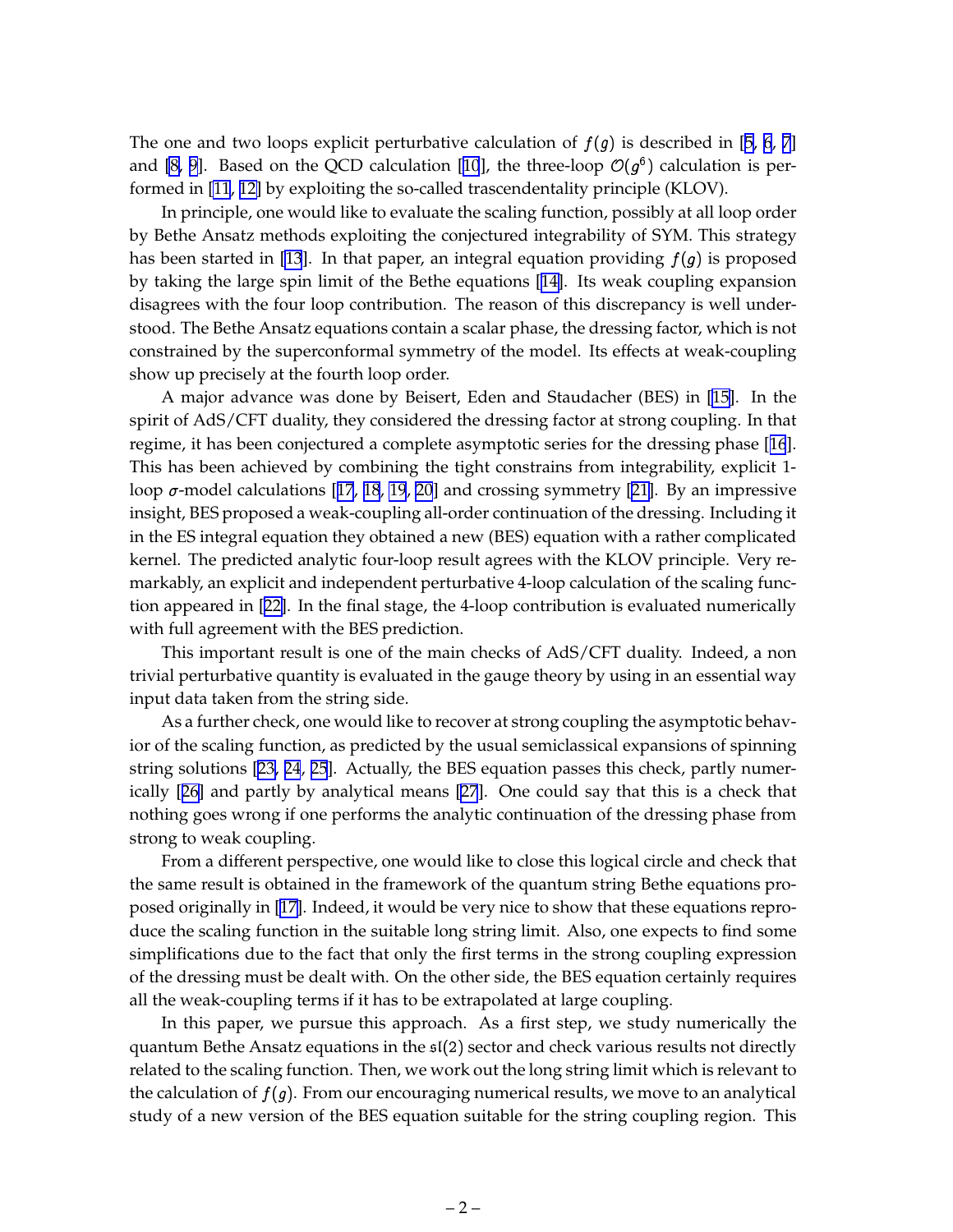The one and two loops explicit perturbative calculation of  $f(g)$  is described in [[5](#page-18-0), [6](#page-18-0), [7](#page-18-0)] and [\[8, 9](#page-18-0)]. Based on the QCD calculation [[10](#page-18-0)], the three-loop  $\mathcal{O}(g^{\mathfrak{b}})$  calculation is performed in [\[11](#page-18-0), [12\]](#page-18-0) by exploiting the so-called trascendentality principle (KLOV).

In principle, one would like to evaluate the scaling function, possibly at all loop order by Bethe Ansatz methods exploiting the conjectured integrability of SYM. This strategy has been started in [\[13](#page-18-0)]. In that paper, an integral equation providing  $f(g)$  is proposed by taking the large spin limit of the Bethe equations [[14\]](#page-18-0). Its weak coupling expansion disagrees with the four loop contribution. The reason of this discrepancy is well understood. The Bethe Ansatz equations contain a scalar phase, the dressing factor, which is not constrained by the superconformal symmetry of the model. Its effects at weak-coupling show up precisely at the fourth loop order.

A major advance was done by Beisert, Eden and Staudacher (BES) in [[15\]](#page-18-0). In the spirit of AdS/CFT duality, they considered the dressing factor at strong coupling. In that regime, it has been conjectured a complete asymptotic series for the dressing phase [[16](#page-18-0)]. This has been achieved by combining the tight constrains from integrability, explicit 1 loop  $\sigma$ -model calculations [[17](#page-18-0), [18](#page-18-0), [19](#page-18-0), [20](#page-18-0)] and crossing symmetry [[21\]](#page-19-0). By an impressive insight, BES proposed a weak-coupling all-order continuation of the dressing. Including it in the ES integral equation they obtained a new (BES) equation with a rather complicated kernel. The predicted analytic four-loop result agrees with the KLOV principle. Very remarkably, an explicit and independent perturbative 4-loop calculation of the scaling function appeared in [[22\]](#page-19-0). In the final stage, the 4-loop contribution is evaluated numerically with full agreement with the BES prediction.

This important result is one of the main checks of AdS/CFT duality. Indeed, a non trivial perturbative quantity is evaluated in the gauge theory by using in an essential way input data taken from the string side.

As a further check, one would like to recover at strong coupling the asymptotic behavior of the scaling function, as predicted by the usual semiclassical expansions of spinning string solutions [[23, 24](#page-19-0), [25](#page-19-0)]. Actually, the BES equation passes this check, partly numerically [[26\]](#page-19-0) and partly by analytical means [\[27](#page-19-0)]. One could say that this is a check that nothing goes wrong if one performs the analytic continuation of the dressing phase from strong to weak coupling.

From a different perspective, one would like to close this logical circle and check that the same result is obtained in the framework of the quantum string Bethe equations proposed originally in [\[17\]](#page-18-0). Indeed, it would be very nice to show that these equations reproduce the scaling function in the suitable long string limit. Also, one expects to find some simplifications due to the fact that only the first terms in the strong coupling expression of the dressing must be dealt with. On the other side, the BES equation certainly requires all the weak-coupling terms if it has to be extrapolated at large coupling.

In this paper, we pursue this approach. As a first step, we study numerically the quantum Bethe Ansatz equations in the  $\mathfrak{sl}(2)$  sector and check various results not directly related to the scaling function. Then, we work out the long string limit which is relevant to the calculation of  $f(g)$ . From our encouraging numerical results, we move to an analytical study of a new version of the BES equation suitable for the string coupling region. This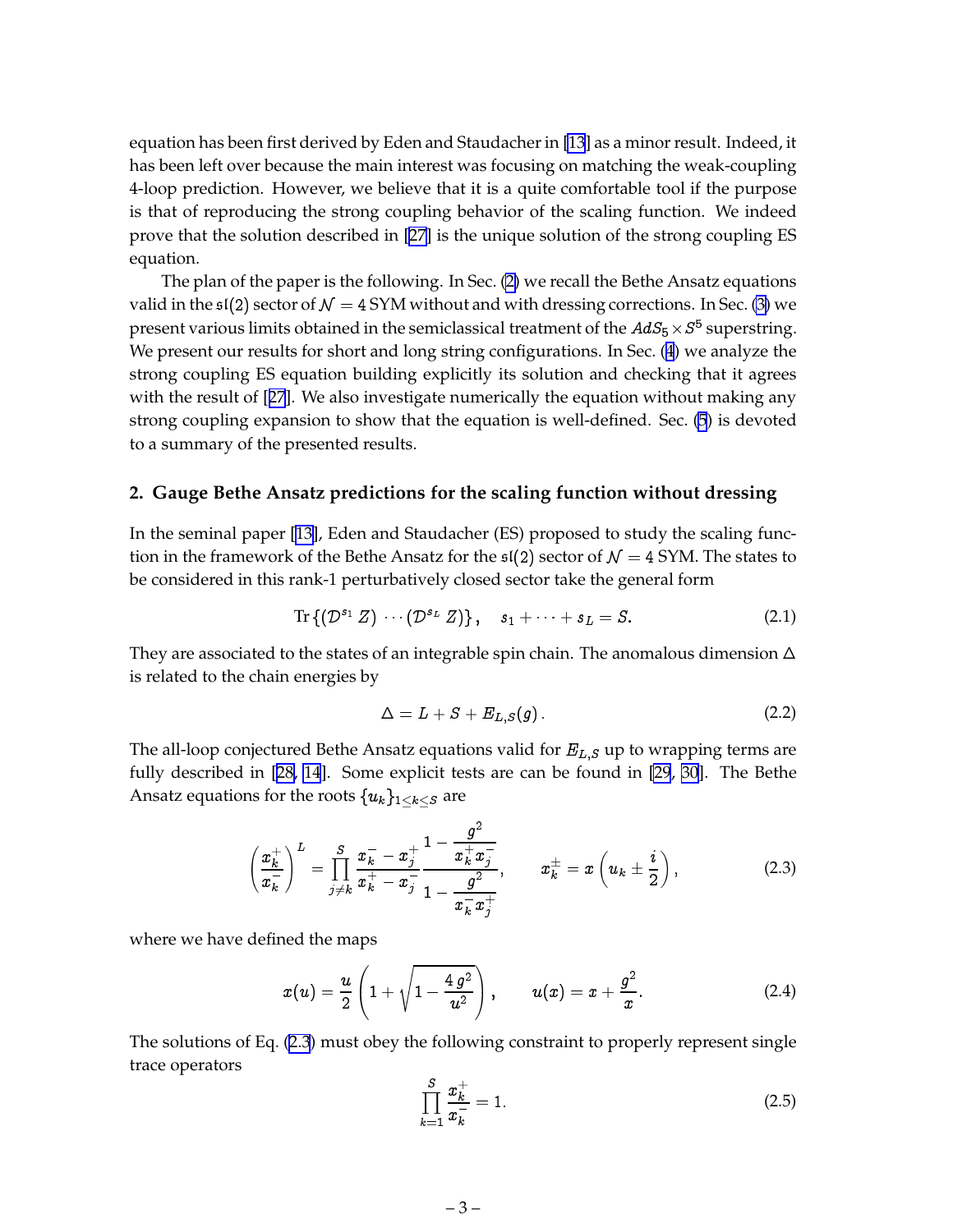<span id="page-4-0"></span>equation has been first derived by Eden and Staudacher in [\[13](#page-18-0)] as a minor result. Indeed, it has been left over because the main interest was focusing on matching the weak-coupling 4-loop prediction. However, we believe that it is a quite comfortable tool if the purpose is that of reproducing the strong coupling behavior of the scaling function. We indeed prove that the solution described in [\[27\]](#page-19-0) is the unique solution of the strong coupling ES equation.

The plan of the paper is the following. In Sec. (2) we recall the Bethe Ansatz equations valid in the  $\mathfrak{sl}(2)$  sector of  $\mathcal{N}=4$  SYM without and with dressing corrections. In Sec. [\(3\)](#page-6-0) we present various limits obtained in the semiclassical treatment of the  $AdS_5\times S^5$  superstring. We present our results for short and long string configurations. In Sec. ([4](#page-11-0)) we analyze the strong coupling ES equation building explicitly its solution and checking that it agrees with the result of [[27](#page-19-0)]. We also investigate numerically the equation without making any strong coupling expansion to show that the equation is well-defined. Sec. [\(5](#page-17-0)) is devoted to a summary of the presented results.

#### **2. Gauge Bethe Ansatz predictions for the scaling function without dressing**

In the seminal paper [\[13](#page-18-0)], Eden and Staudacher (ES) proposed to study the scaling function in the framework of the Bethe Ansatz for the  $\mathfrak{sl}(2)$  sector of  $\mathcal{N}=4$  SYM. The states to be considered in this rank-1 perturbatively closed sector take the general form

$$
\operatorname{Tr}\left\{ \left(\mathcal{D}^{s_1} \ Z\right) \ \cdots \left(\mathcal{D}^{s_L} \ Z\right) \right\}, \quad s_1 + \cdots + s_L = S. \tag{2.1}
$$

They are associated to the states of an integrable spin chain. The anomalous dimension  $\Delta$ is related to the chain energies by

$$
\Delta = L + S + E_{L,S}(g). \tag{2.2}
$$

The all-loop conjectured Bethe Ansatz equations valid for  $E_{L,S}$  up to wrapping terms are fully described in [[28,](#page-19-0) [14](#page-18-0)]. Some explicit tests are can be found in [\[29](#page-19-0), [30](#page-19-0)]. The Bethe Ansatz equations for the roots  $\{u_k\}_{1\leq k\leq S}$  are

$$
\left(\frac{x_k^+}{x_k^-}\right)^L = \prod_{j\neq k}^S \frac{x_k^- - x_j^+}{x_k^+ - x_j^-} \frac{1 - \frac{g^2}{x_k^+ x_j^-}}{1 - \frac{g^2}{x_k^- x_j^+}}, \qquad x_k^+ = x\left(u_k \pm \frac{i}{2}\right), \tag{2.3}
$$

where we have defined the maps

$$
x(u) = \frac{u}{2} \left( 1 + \sqrt{1 - \frac{4 g^2}{u^2}} \right), \qquad u(x) = x + \frac{g^2}{x}.
$$
 (2.4)

The solutions of Eq. (2.3) must obey the following constraint to properly represent single trace operators

$$
\prod_{k=1}^{S} \frac{x_k^+}{x_k^-} = 1.
$$
\n(2.5)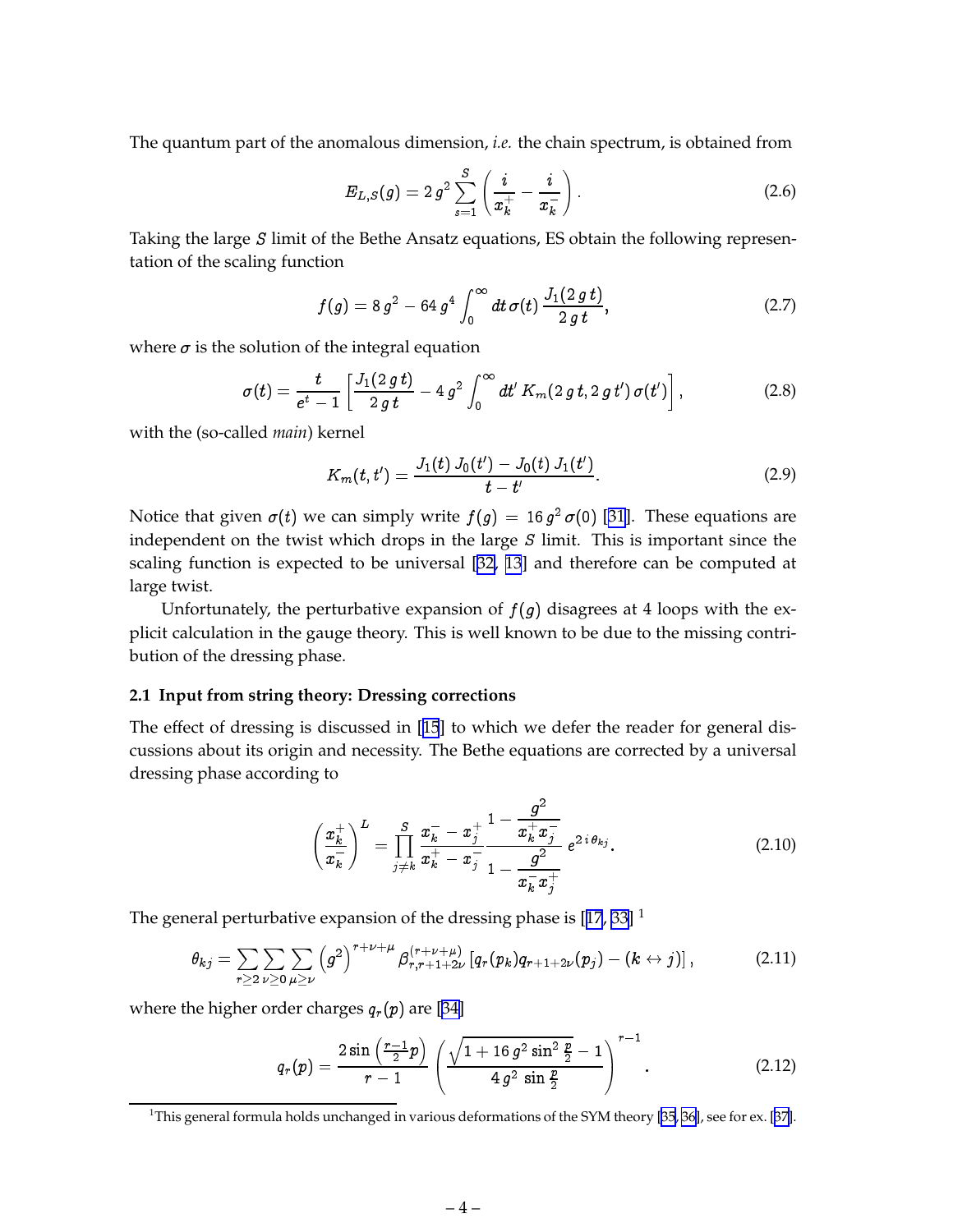<span id="page-5-0"></span>The quantum part of the anomalous dimension, *i.e.* the chain spectrum, is obtained from

$$
E_{L,S}(g) = 2 g^2 \sum_{s=1}^{S} \left( \frac{i}{x_k^+} - \frac{i}{x_k^-} \right).
$$
 (2.6)

Taking the large S limit of the Bethe Ansatz equations, ES obtain the following representation of the scaling function

$$
f(g) = 8 g2 - 64 g4 \int_0^{\infty} dt \,\sigma(t) \, \frac{J_1(2 g t)}{2 g t}, \qquad (2.7)
$$

where  $\sigma$  is the solution of the integral equation

$$
\sigma(t) = \frac{t}{e^t - 1} \left[ \frac{J_1(2\,gt)}{2\,gt} - 4\,g^2 \int_0^\infty dt' \, K_m(2\,gt, 2\,gt') \, \sigma(t') \right],\tag{2.8}
$$

with the (so-called *main*) kernel

$$
K_m(t,t') = \frac{J_1(t) J_0(t') - J_0(t) J_1(t')}{t - t'}.
$$
\n(2.9)

Notice that given  $\sigma(t)$  we can simply write  $f(g) = 16 \, g^2 \, \sigma(0)$  [[31\]](#page-19-0). These equations are independent on the twist which drops in the large  $S$  limit. This is important since the scaling function is expected to be universal [[32,](#page-19-0) [13](#page-18-0)] and therefore can be computed at large twist.

Unfortunately, the perturbative expansion of  $f(g)$  disagrees at 4 loops with the explicit calculation in the gauge theory. This is well known to be due to the missing contribution of the dressing phase.

#### **2.1 Input from string theory: Dressing corrections**

The effect of dressing is discussed in [[15](#page-18-0)] to which we defer the reader for general discussions about its origin and necessity. The Bethe equations are corrected by a universal dressing phase according to

$$
\left(\frac{x_k^+}{x_k^-}\right)^L = \prod_{j\neq k}^S \frac{x_k^- - x_j^+}{x_k^+ - x_j^-} \frac{1 - \frac{g^2}{x_k^+ x_j^-}}{1 - \frac{g^2}{x_k^- x_j^+}} e^{2 i \theta_{kj}}.
$$
\n(2.10)

The general perturbative expansion of the dressing phase is  $[17, 33]$  $[17, 33]$  $[17, 33]$  $[17, 33]$ <sup>1</sup>

$$
\theta_{kj} = \sum_{r \geq 2} \sum_{\nu \geq 0} \sum_{\mu \geq \nu} \left( g^2 \right)^{r+\nu+\mu} \beta_{r,r+1+2\nu}^{(r+\nu+\mu)} \left[ q_r(p_k) q_{r+1+2\nu}(p_j) - (k \leftrightarrow j) \right], \tag{2.11}
$$

where the higher order charges  $q_r(p)$  are [\[34\]](#page-19-0)

$$
q_r(p) = \frac{2 \sin \left(\frac{r-1}{2}p\right)}{r-1} \left(\frac{\sqrt{1+16 g^2 \sin^2 \frac{p}{2}}-1}{4 g^2 \sin \frac{p}{2}}\right)^{r-1}.
$$
 (2.12)

<sup>&</sup>lt;sup>1</sup>This general formula holds unchanged in various deformations of the SYM theory [\[35](#page-19-0), [36](#page-19-0)], see for ex. [[37\]](#page-19-0).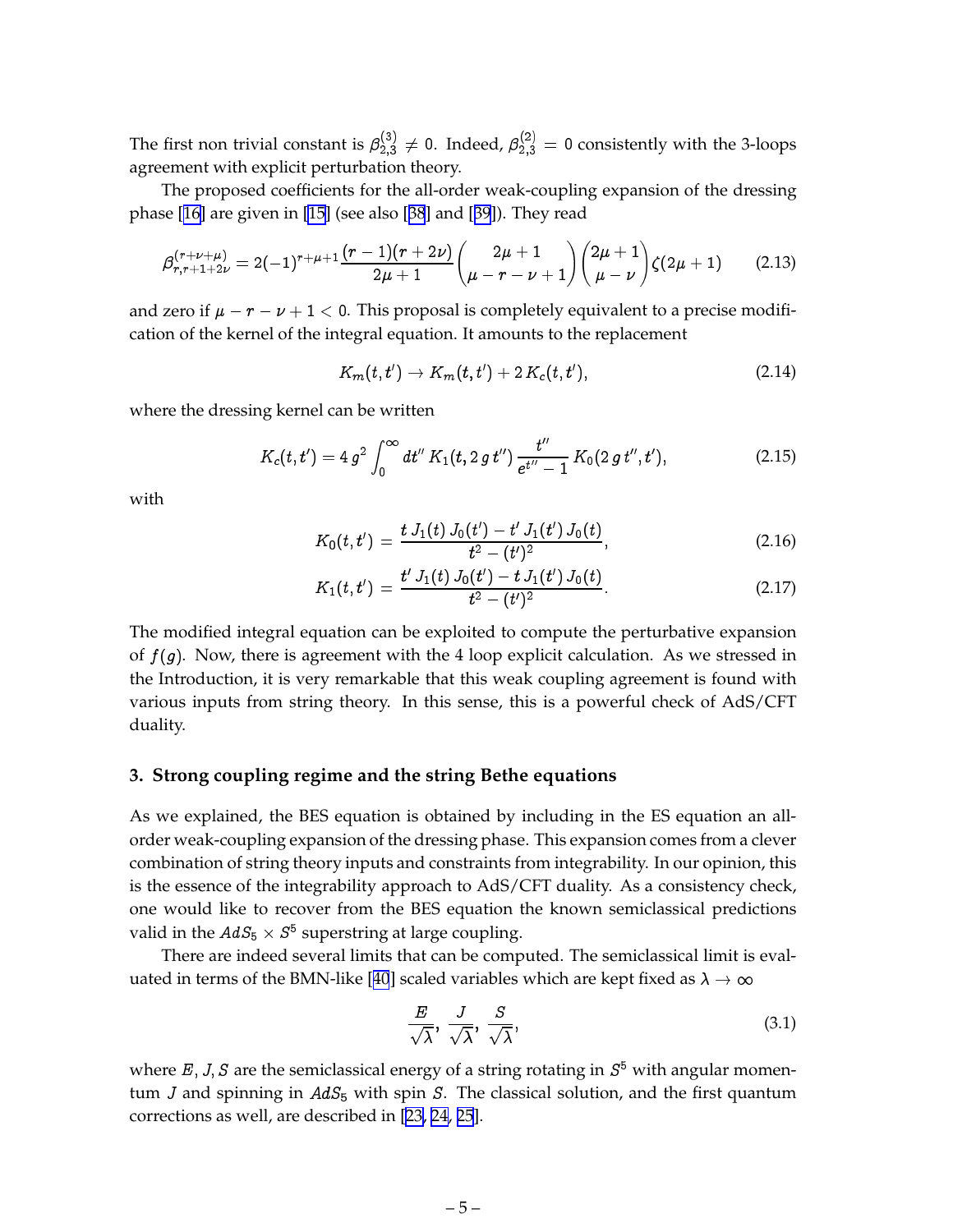<span id="page-6-0"></span>The first non trivial constant is  $\beta_{2,3}^{(0)} \neq 0$ . Indeed,  $\beta_{2,3}^{(2)} = 0$  consistently with the 3-loops agreement with explicit perturbation theory.

The proposed coefficients for the all-order weak-coupling expansion of the dressing phase [[16\]](#page-18-0) are given in [\[15](#page-18-0)] (see also [[38](#page-19-0)] and [[39](#page-20-0)]). They read

$$
\beta_{r,r+1+2\nu}^{(r+\nu+\mu)} = 2(-1)^{r+\mu+1}\frac{(r-1)(r+2\nu)}{2\mu+1}\binom{2\mu+1}{\mu-r-\nu+1}\binom{2\mu+1}{\mu-\nu}\zeta(2\mu+1) \qquad (2.13)
$$

and zero if  $\mu - r - \nu + 1 < 0$ . This proposal is completely equivalent to a precise modification of the kernel of the integral equation. It amounts to the replacement

$$
K_m(t,t') \to K_m(t,t') + 2 K_c(t,t'), \qquad (2.14)
$$

where the dressing kernel can be written

$$
K_c(t,t') = 4 g^2 \int_0^\infty dt'' K_1(t, 2 g t'') \frac{t''}{e^{t''}-1} K_0(2 g t'', t'), \qquad (2.15)
$$

with

$$
K_0(t,t') = \frac{t J_1(t) J_0(t') - t' J_1(t') J_0(t)}{t^2 - (t')^2},
$$
\n(2.16)

$$
K_1(t,t') = \frac{t'\,J_1(t)\,J_0(t') - t\,J_1(t')\,J_0(t)}{t^2 - (t')^2}.
$$
\n(2.17)

The modified integral equation can be exploited to compute the perturbative expansion of  $f(g)$ . Now, there is agreement with the 4 loop explicit calculation. As we stressed in the Introduction, it is very remarkable that this weak coupling agreement is found with various inputs from string theory. In this sense, this is a powerful check of AdS/CFT duality.

#### **3. Strong coupling regime and the string Bethe equations**

As we explained, the BES equation is obtained by including in the ES equation an allorder weak-coupling expansion of the dressing phase. This expansion comes from a clever combination of string theory inputs and constraints from integrability. In our opinion, this is the essence of the integrability approach to AdS/CFT duality. As a consistency check, one would like to recover from the BES equation the known semiclassical predictions valid in the  $AdS_5 \times S^{\mathfrak{d}}$  superstring at large coupling.

There are indeed several limits that can be computed. The semiclassical limit is eval-uated in terms of the BMN-like [[40](#page-20-0)] scaled variables which are kept fixed as  $\lambda \to \infty$ 

$$
\frac{E}{\sqrt{\lambda}}, \frac{J}{\sqrt{\lambda}}, \frac{S}{\sqrt{\lambda}}, \tag{3.1}
$$

where E, J, S are the semiclassical energy of a string rotating in  $S^5$  with angular momentum *J* and spinning in  $AdS_5$  with spin *S*. The classical solution, and the first quantum corrections as well, are described in [[23, 24](#page-19-0), [25](#page-19-0)].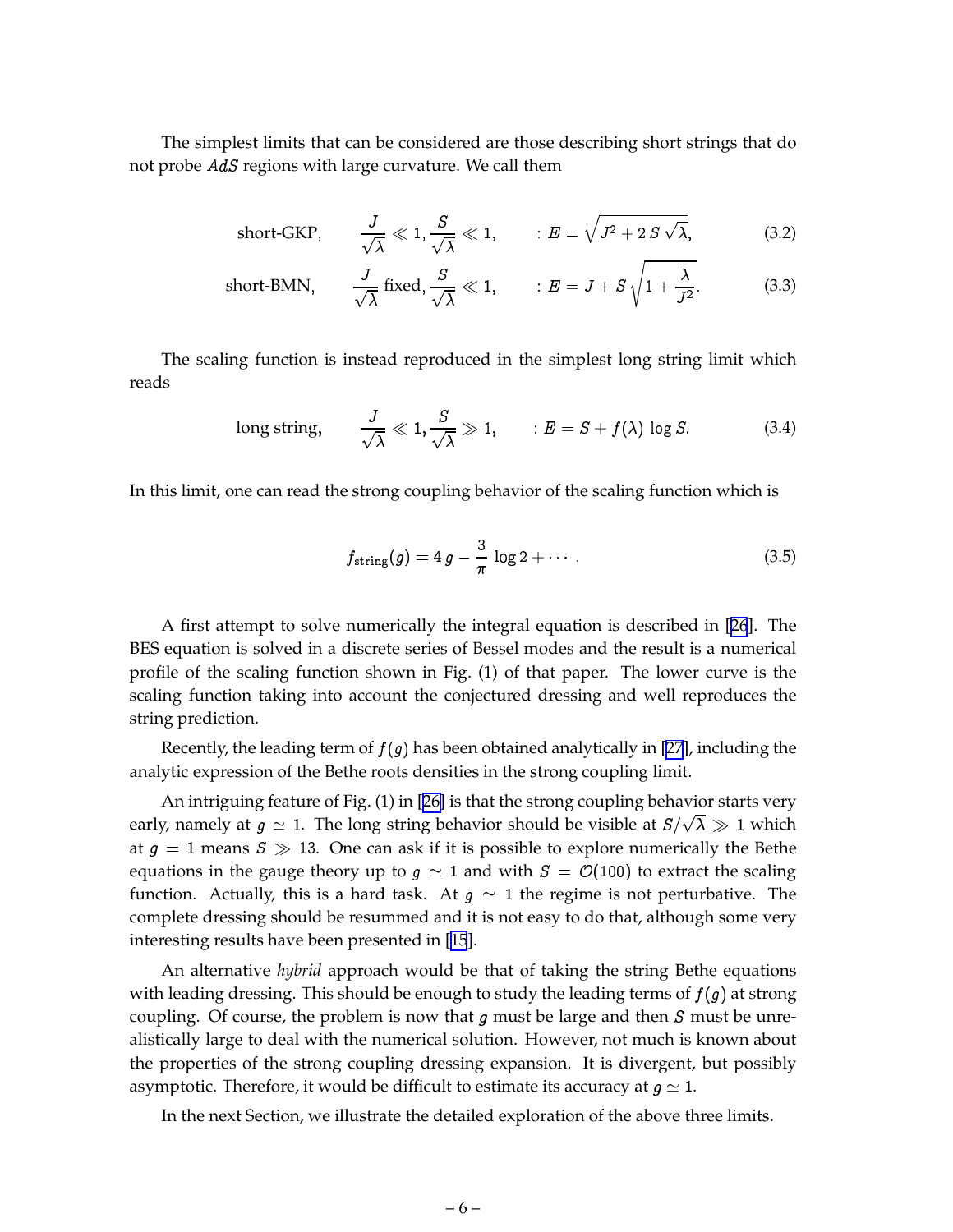The simplest limits that can be considered are those describing short strings that do not probe AdS regions with large curvature. We call them

short-GKP, 
$$
\frac{J}{\sqrt{\lambda}} \ll 1, \frac{S}{\sqrt{\lambda}} \ll 1
$$
,  $E = \sqrt{J^2 + 2 S \sqrt{\lambda}}$ , (3.2)

s and the state of the state of the

short-BMN, 
$$
\frac{J}{\sqrt{\lambda}}
$$
 fixed,  $\frac{S}{\sqrt{\lambda}} \ll 1$ ,  $E = J + S \sqrt{1 + \frac{\lambda}{J^2}}$ . (3.3)

The scaling function is instead reproduced in the simplest long string limit which reads

long string, 
$$
\frac{J}{\sqrt{\lambda}} \ll 1, \frac{S}{\sqrt{\lambda}} \gg 1
$$
,  $\therefore E = S + f(\lambda) \log S$ . (3.4)

In this limit, one can read the strong coupling behavior of the scaling function which is

$$
f_{\text{string}}(g) = 4 g - \frac{3}{\pi} \log 2 + \cdots \qquad (3.5)
$$

A first attempt to solve numerically the integral equation is described in [[26](#page-19-0)]. The BES equation is solved in a discrete series of Bessel modes and the result is a numerical profile of the scaling function shown in Fig. (1) of that paper. The lower curve is the scaling function taking into account the conjectured dressing and well reproduces the string prediction.

Recently, the leading term of  $f(g)$  has been obtained analytically in [\[27](#page-19-0)], including the analytic expression of the Bethe roots densities in the strong coupling limit.

An intriguing feature of Fig. (1) in [[26\]](#page-19-0) is that the strong coupling behavior starts very early, namely at  $g \, \simeq \, 1.$  The long string behavior should be visible at  $S/\sqrt{\lambda} \, \gg \, 1$  which at  $g = 1$  means  $S \gg 13$ . One can ask if it is possible to explore numerically the Bethe equations in the gauge theory up to  $g \simeq 1$  and with  $S = \mathcal{O}(100)$  to extract the scaling function. Actually, this is a hard task. At  $g \simeq 1$  the regime is not perturbative. The complete dressing should be resummed and it is not easy to do that, although some very interesting results have been presented in [[15](#page-18-0)].

An alternative *hybrid* approach would be that of taking the string Bethe equations with leading dressing. This should be enough to study the leading terms of  $f(g)$  at strong coupling. Of course, the problem is now that  $g$  must be large and then  $S$  must be unrealistically large to deal with the numerical solution. However, not much is known about the properties of the strong coupling dressing expansion. It is divergent, but possibly asymptotic. Therefore, it would be difficult to estimate its accuracy at  $g \simeq 1$ .

In the next Section, we illustrate the detailed exploration of the above three limits.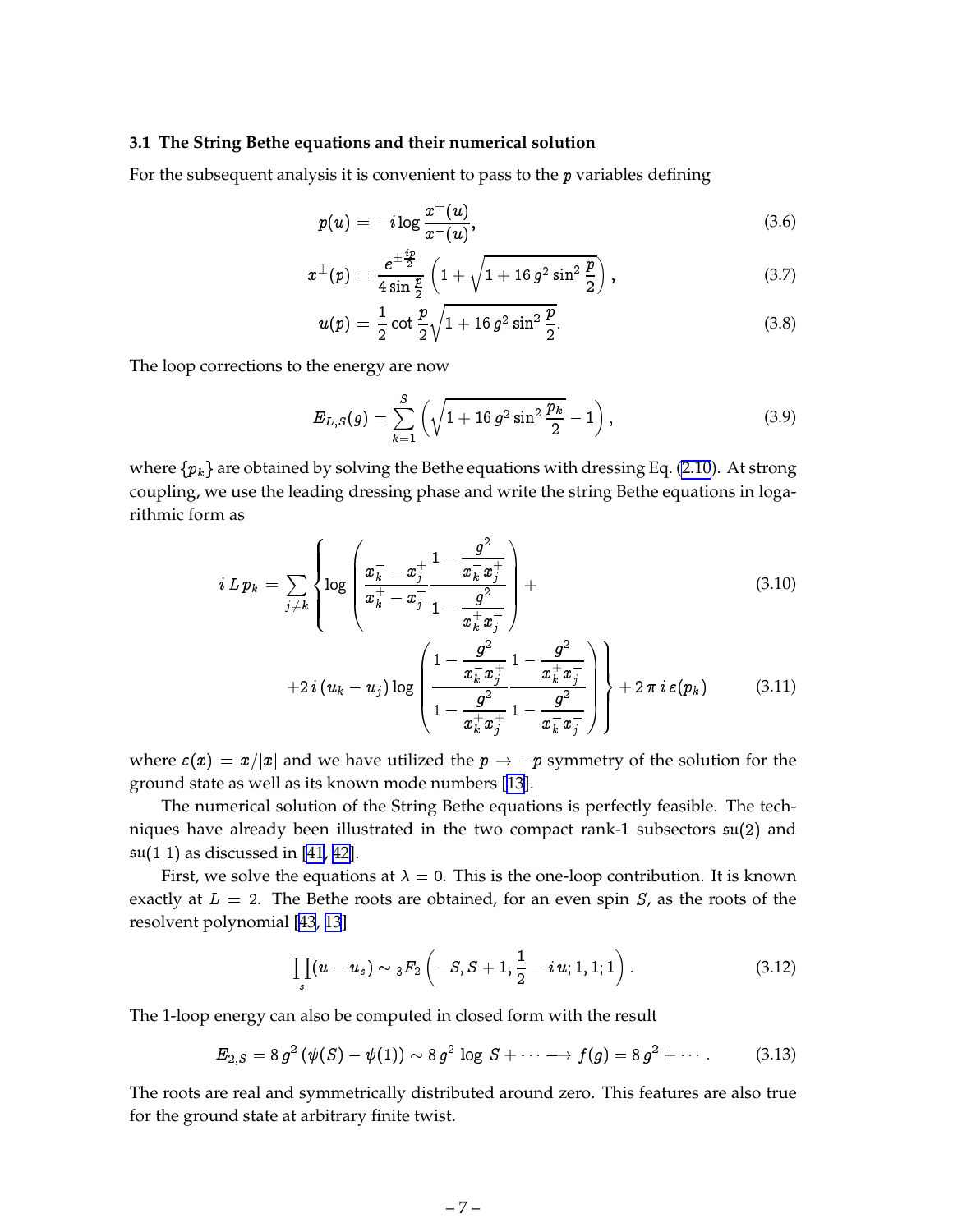#### <span id="page-8-0"></span>**3.1 The String Bethe equations and their numerical solution**

For the subsequent analysis it is convenient to pass to the p variables defining

$$
p(u) = -i \log \frac{x^+(u)}{x^-(u)}, \qquad (3.6)
$$

$$
x^{\pm}(p) = \frac{e^{\pm \frac{i p}{2}}}{4 \sin \frac{p}{2}} \left(1 + \sqrt{1 + 16 g^2 \sin^2 \frac{p}{2}}\right), \tag{3.7}
$$

$$
u(p) = \frac{1}{2} \cot \frac{p}{2} \sqrt{1 + 16 g^2 \sin^2 \frac{p}{2}}.
$$
 (3.8)

The loop corrections to the energy are now

$$
E_{L,S}(g) = \sum_{k=1}^{S} \left( \sqrt{1 + 16 g^2 \sin^2 \frac{p_k}{2}} - 1 \right), \tag{3.9}
$$

where  $\{p_k\}$  are obtained by solving the Bethe equations with dressing Eq. [\(2.10](#page-5-0)). At strong coupling, we use the leading dressing phase and write the string Bethe equations in logarithmic form as

$$
i \, L \, p_k \ = \ \sum_{j \neq k} \left\{ \log \left( \frac{x_k^- - x_j^+}{x_k^+ - x_j^-} \frac{1 - \frac{g^2}{x_k^- x_j^+}}{1 - \frac{g^2}{x_k^+ x_j^-}} \right) + \right. \tag{3.10}
$$

$$
+2 i (u_k - u_j) \log \left( \frac{1 - \frac{g^2}{x_k^2 x_j^+}}{1 - \frac{g^2}{x_k^+ x_j^+}} \frac{1 - \frac{g^2}{x_k^+ x_j^-}}{1 - \frac{g^2}{x_k^- x_j^-}} \right) + 2 \pi i \, \varepsilon(p_k) \tag{3.11}
$$

where  $\varepsilon(x) = x/|x|$  and we have utilized the  $p \to -p$  symmetry of the solution for the ground state as well as its known mode numbers [[13\]](#page-18-0).

The numerical solution of the String Bethe equations is perfectly feasible. The techniques have already been illustrated in the two compact rank-1 subsectors su(2) and  $\mathfrak{su}(1|1)$  as discussed in [\[41](#page-20-0), [42\]](#page-20-0).

First, we solve the equations at  $\lambda = 0$ . This is the one-loop contribution. It is known exactly at  $L = 2$ . The Bethe roots are obtained, for an even spin S, as the roots of the resolvent polynomial [\[43](#page-20-0), [13](#page-18-0)]

$$
\prod_{s}(u-u_{s})\sim {}_{3}F_{2}\left(-S,S+1,\frac{1}{2}-i\,u;1,1;1\right).
$$
 (3.12)

The 1-loop energy can also be computed in closed form with the result

$$
E_{2,S}=8 g^2 \left(\psi(S)-\psi(1)\right)\sim 8 g^2 \log S+\cdots \longrightarrow f(g)=8 g^2+\cdots \qquad (3.13)
$$

The roots are real and symmetrically distributed around zero. This features are also true for the ground state at arbitrary finite twist.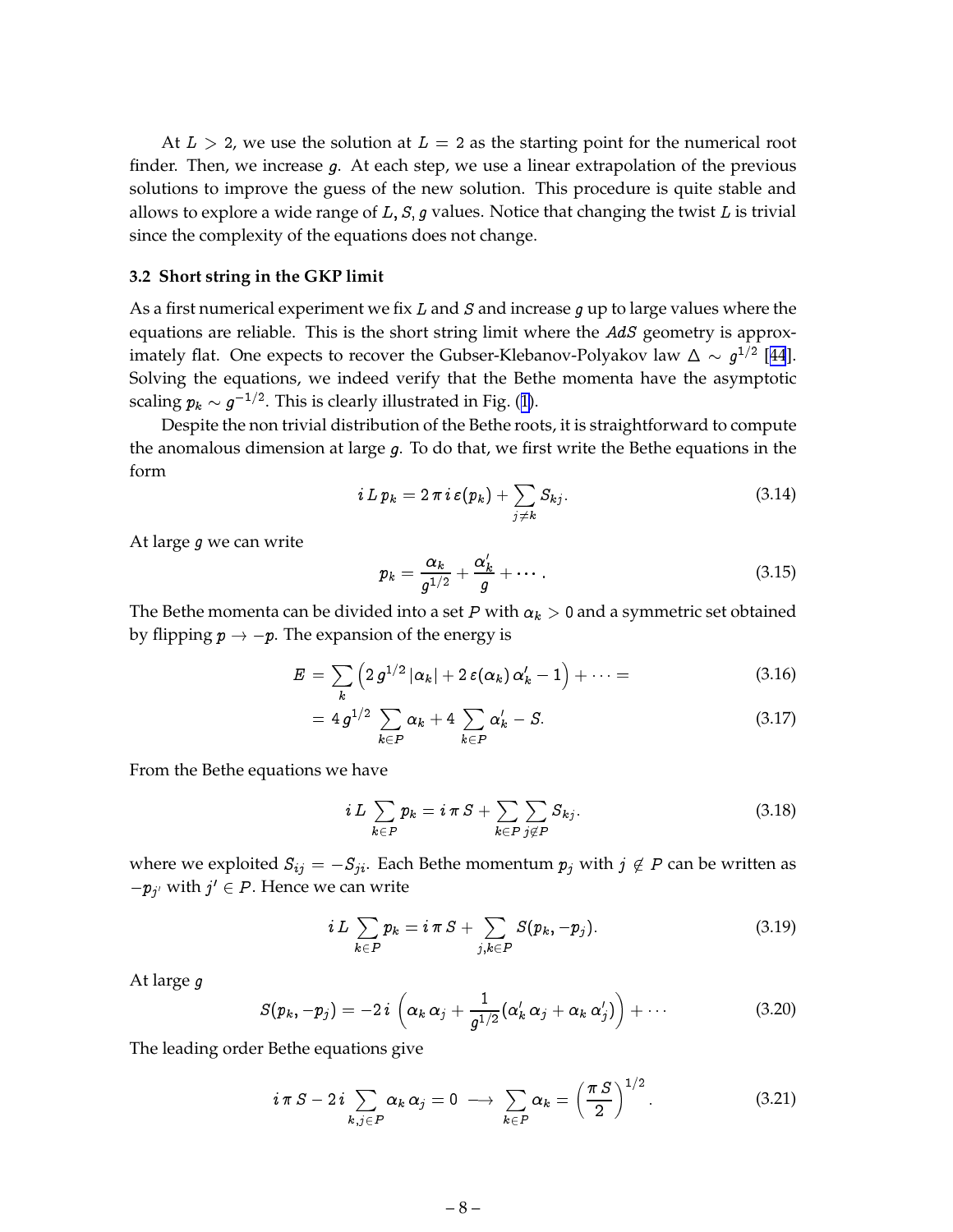<span id="page-9-0"></span>At  $L > 2$ , we use the solution at  $L = 2$  as the starting point for the numerical root finder. Then, we increase g. At each step, we use a linear extrapolation of the previous solutions to improve the guess of the new solution. This procedure is quite stable and allows to explore a wide range of  $L$ ,  $S$ ,  $g$  values. Notice that changing the twist  $L$  is trivial since the complexity of the equations does not change.

#### **3.2 Short string in the GKP limit**

As a first numerical experiment we fix  $L$  and  $S$  and increase  $g$  up to large values where the equations are reliable. This is the short string limit where the  $AdS$  geometry is approximately flat. One expects to recover the Gubser-Klebanov-Polyakov law  $\Delta \sim g^{1/2}$  [[44](#page-20-0)]. Solving the equations, we indeed verify that the Bethe momenta have the asymptotic scaling  $p_k \sim g^{-1/2}$ . This is clearly illustrated in Fig. ([1\)](#page-21-0).

Despite the non trivial distribution of the Bethe roots, it is straightforward to compute the anomalous dimension at large  $g$ . To do that, we first write the Bethe equations in the form

$$
i \, L \, p_k = 2 \, \pi \, i \, \varepsilon(p_k) + \sum_{j \neq k} S_{kj}.\tag{3.14}
$$

At large g we can write

$$
p_k = \frac{\alpha_k}{g^{1/2}} + \frac{\alpha'_k}{g} + \cdots \qquad (3.15)
$$

The Bethe momenta can be divided into a set P with  $\alpha_k > 0$  and a symmetric set obtained by flipping  $p \rightarrow -p$ . The expansion of the energy is

$$
E = \sum_{k} \left( 2 g^{1/2} |\alpha_k| + 2 \varepsilon (\alpha_k) \alpha'_k - 1 \right) + \cdots = \qquad (3.16)
$$

$$
= 4 g^{1/2} \sum_{k \in P} \alpha_k + 4 \sum_{k \in P} \alpha'_k - S. \tag{3.17}
$$

From the Bethe equations we have

$$
i L \sum_{k \in P} p_k = i \pi S + \sum_{k \in P} \sum_{j \notin P} S_{kj}.
$$
 (3.18)

where we exploited  $S_{ij} = -S_{ji}$ . Each Bethe momentum  $p_j$  with  $j \notin P$  can be written as  $-p_{j'}$  with  $j' \in P$ . Hence we can write

$$
i\,L\,\sum_{k\,\in P}p_k=i\,\pi\,S+\sum_{j,k\,\in P}S(p_k,-p_j). \qquad \qquad (3.19)
$$

 $\frac{1}{2}$ 

At large g

$$
S(p_k,-p_j)=-2\,i\,\left(\alpha_k\,\alpha_j+\frac{1}{g^{1/2}}(\alpha'_k\,\alpha_j+\alpha_k\,\alpha'_j)\right)+\cdots\qquad \qquad (3.20)
$$

The leading order Bethe equations give

$$
i \pi S - 2 i \sum_{k,j \in P} \alpha_k \alpha_j = 0 \longrightarrow \sum_{k \in P} \alpha_k = \left(\frac{\pi S}{2}\right)^{1/2}.
$$
 (3.21)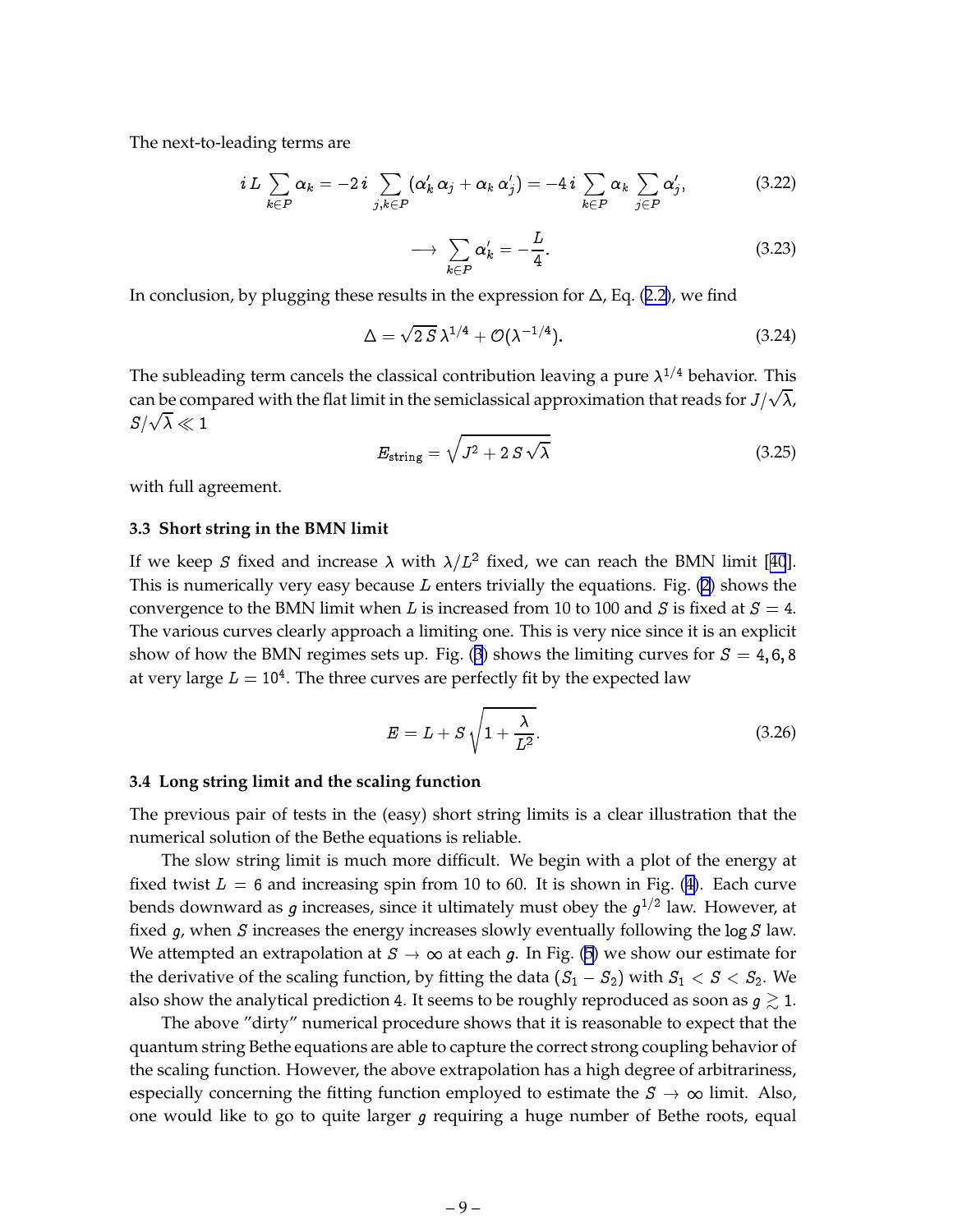<span id="page-10-0"></span>The next-to-leading terms are

$$
i L \sum_{k \in P} \alpha_k = -2 i \sum_{j,k \in P} (\alpha'_k \alpha_j + \alpha_k \alpha'_j) = -4 i \sum_{k \in P} \alpha_k \sum_{j \in P} \alpha'_j,
$$
 (3.22)

$$
\longrightarrow \sum_{k \in P} \alpha'_k = -\frac{L}{4}.\tag{3.23}
$$

In conclusion, by plugging these results in the expression for  $\Delta$ , Eq. ([2.2](#page-4-0)), we find

$$
\Delta = \sqrt{2 S} \,\lambda^{1/4} + \mathcal{O}(\lambda^{-1/4}).\tag{3.24}
$$

The subleading term cancels the classical contribution leaving a pure  $\lambda^{1/4}$  behavior. This can be compared with the flat limit in the semiclassical approximation that reads for  $J/\sqrt{\lambda}$ ,  $S/\sqrt{\lambda}\ll 1$ 

$$
E_{\text{string}} = \sqrt{J^2 + 2 S \sqrt{\lambda}}
$$
 (3.25)

with full agreement.

#### **3.3 Short string in the BMN limit**

If we keep S fixed and increase  $\lambda$  with  $\lambda/L^2$  fixed, we can reach the BMN limit [[40](#page-20-0)]. This is numerically very easy because  $L$  enters trivially the equations. Fig. ([2](#page-22-0)) shows the convergence to the BMN limit when L is increased from 10 to 100 and S is fixed at  $S = 4$ . The various curves clearly approach a limiting one. This is very nice since it is an explicit show of how the BMN regimes sets up. Fig. ([3](#page-23-0)) shows the limiting curves for  $S = 4, 6, 8$ at very large  $L=10^4.$  The three curves are perfectly fit by the expected law

$$
E = L + S \sqrt{1 + \frac{\lambda}{L^2}}.\tag{3.26}
$$

#### **3.4 Long string limit and the scaling function**

The previous pair of tests in the (easy) short string limits is a clear illustration that the numerical solution of the Bethe equations is reliable.

The slow string limit is much more difficult. We begin with a plot of the energy at fixed twist  $L = 6$  and increasing spin from 10 to 60. It is shown in Fig. ([4\)](#page-24-0). Each curve bends downward as  $g$  increases, since it ultimately must obey the  $g^{1/2}$  law. However, at fixed  $g$ , when  $S$  increases the energy increases slowly eventually following the log  $S$  law. We attempted an extrapolation at  $S \to \infty$  at each g. In Fig. ([5](#page-25-0)) we show our estimate for the derivative of the scaling function, by fitting the data  $(S_1 - S_2)$  with  $S_1 < S < S_2$ . We also show the analytical prediction 4. It seems to be roughly reproduced as soon as  $g \gtrsim 1$ .

The above "dirty" numerical procedure shows that it is reasonable to expect that the quantum string Bethe equations are able to capture the correct strong coupling behavior of the scaling function. However, the above extrapolation has a high degree of arbitrariness, especially concerning the fitting function employed to estimate the  $S \to \infty$  limit. Also, one would like to go to quite larger g requiring a huge number of Bethe roots, equal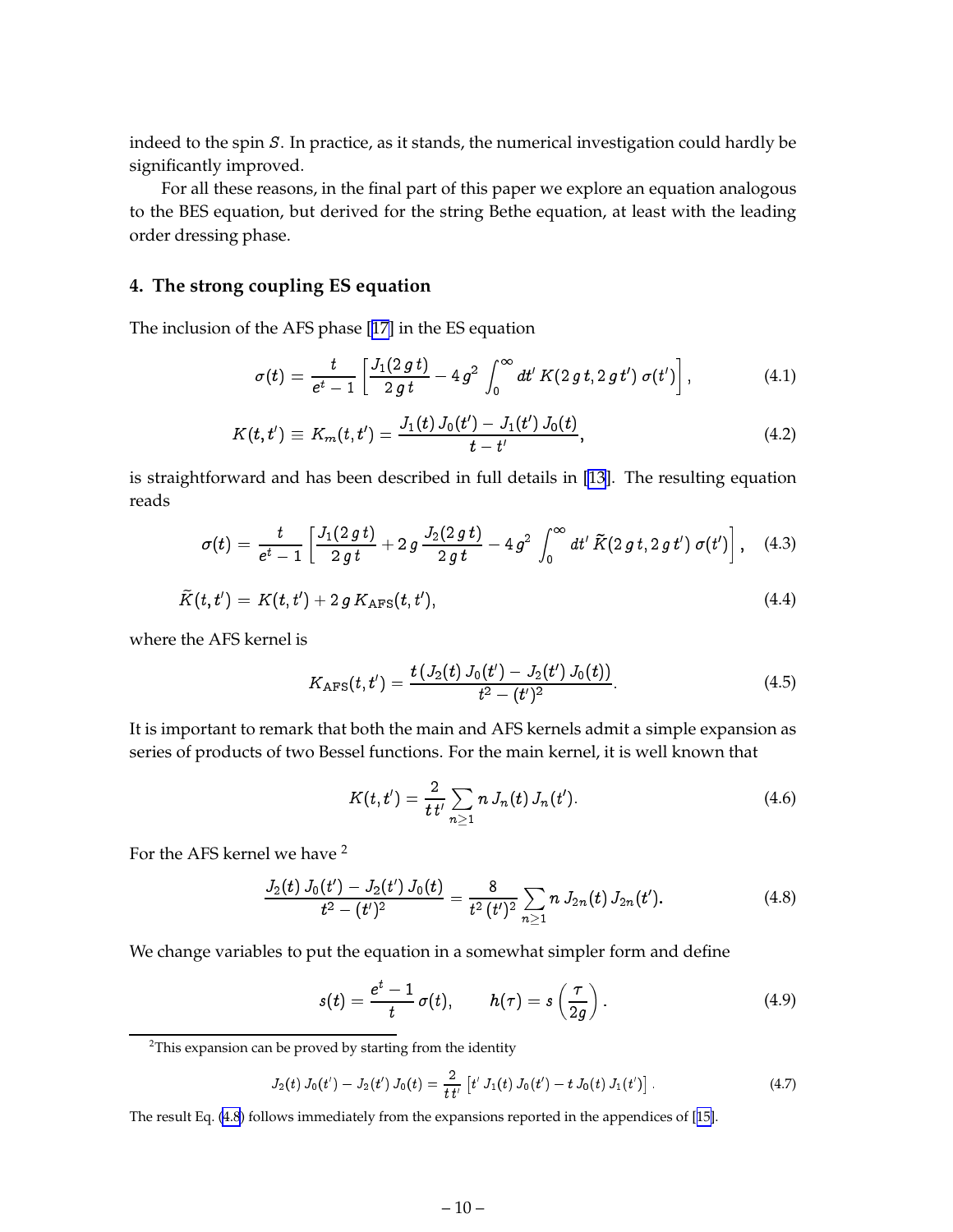<span id="page-11-0"></span>indeed to the spin S. In practice, as it stands, the numerical investigation could hardly be significantly improved.

For all these reasons, in the final part of this paper we explore an equation analogous to the BES equation, but derived for the string Bethe equation, at least with the leading order dressing phase.

#### **4. The strong coupling ES equation**

The inclusion of the AFS phase [\[17\]](#page-18-0) in the ES equation

$$
\sigma(t) = \frac{t}{e^t - 1} \left[ \frac{J_1(2\,g\,t)}{2\,g\,t} - 4\,g^2 \int_0^\infty dt' \, K(2\,g\,t, 2\,g\,t') \,\sigma(t') \right],\tag{4.1}
$$

$$
K(t,t') \equiv K_m(t,t') = \frac{J_1(t) J_0(t') - J_1(t') J_0(t)}{t - t'},
$$
\n(4.2)

is straightforward and has been described in full details in [\[13](#page-18-0)]. The resulting equation reads

$$
\sigma(t) = \frac{t}{e^t - 1} \left[ \frac{J_1(2\,g\,t)}{2\,g\,t} + 2\,g\,\frac{J_2(2\,g\,t)}{2\,g\,t} - 4\,g^2\,\int_0^\infty dt'\,\tilde{K}(2\,g\,t, 2\,g\,t')\,\sigma(t') \right], \quad (4.3)
$$

$$
\widetilde{K}(t,t') = K(t,t') + 2 g K_{\text{AFS}}(t,t'),\tag{4.4}
$$

where the AFS kernel is

$$
K_{\text{AFS}}(t,t') = \frac{t\left(J_2(t)\,J_0(t') - J_2(t')\,J_0(t)\right)}{t^2 - (t')^2}.\tag{4.5}
$$

It is important to remark that both the main and AFS kernels admit a simple expansion as series of products of two Bessel functions. For the main kernel, it is well known that

$$
K(t,t') = \frac{2}{t t'} \sum_{n \geq 1} n J_n(t) J_n(t'). \qquad (4.6)
$$

For the AFS kernel we have <sup>2</sup>

$$
\frac{J_2(t) J_0(t') - J_2(t') J_0(t)}{t^2 - (t')^2} = \frac{8}{t^2 (t')^2} \sum_{n \geq 1} n J_{2n}(t) J_{2n}(t').
$$
 (4.8)

We change variables to put the equation in a somewhat simpler form and define

$$
s(t) = \frac{e^t - 1}{t} \sigma(t), \qquad h(\tau) = s\left(\frac{\tau}{2g}\right). \tag{4.9}
$$

<sup>2</sup>This expansion can be proved by starting from the identity

$$
J_2(t) J_0(t') - J_2(t') J_0(t) = \frac{2}{t t'} [t' J_1(t) J_0(t') - t J_0(t) J_1(t')]. \qquad (4.7)
$$

The result Eq. (4.8) follows immediately from the expansions reported in the appendices of [[15\]](#page-18-0).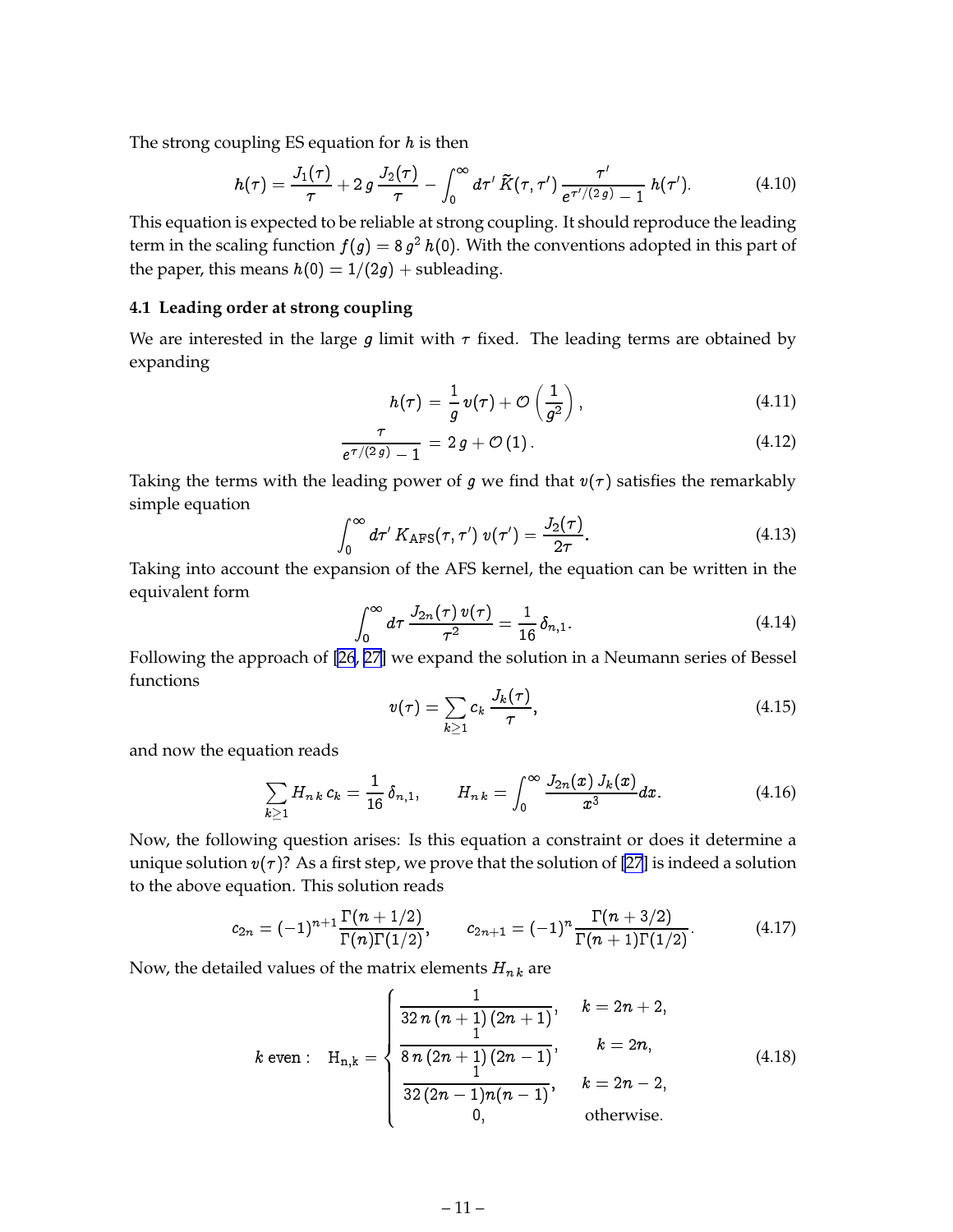<span id="page-12-0"></span>The strong coupling ES equation for  $h$  is then

$$
h(\tau) = \frac{J_1(\tau)}{\tau} + 2 g \frac{J_2(\tau)}{\tau} - \int_0^\infty d\tau' \, \tilde{K}(\tau, \tau') \, \frac{\tau'}{e^{\tau'/(2 g)} - 1} \, h(\tau'). \tag{4.10}
$$

This equation is expected to be reliable at strong coupling. It should reproduce the leading term in the scaling function  $f(g) =$  8  $g^2$   $h(0).$  With the conventions adopted in this part of the paper, this means  $h(0) = 1/(2g) +$  subleading.

#### **4.1 Leading order at strong coupling**

We are interested in the large g limit with  $\tau$  fixed. The leading terms are obtained by expanding

$$
h(\tau) = \frac{1}{g} v(\tau) + \mathcal{O}\left(\frac{1}{g^2}\right), \tag{4.11}
$$

$$
\frac{\tau}{e^{\tau/(2 g)} - 1} = 2 g + \mathcal{O}(1). \tag{4.12}
$$

Taking the terms with the leading power of g we find that  $v(\tau)$  satisfies the remarkably simple equation

$$
\int_0^\infty d\tau' K_{\rm APS}(\tau,\tau')\,v(\tau')=\frac{J_2(\tau)}{2\tau}.\tag{4.13}
$$

Taking into account the expansion of the AFS kernel, the equation can be written in the equivalent form

$$
\int_0^\infty d\tau \, \frac{J_{2n}(\tau) \, v(\tau)}{\tau^2} = \frac{1}{16} \, \delta_{n,1}.\tag{4.14}
$$

Following the approach of [\[26](#page-19-0), [27\]](#page-19-0) we expand the solution in a Neumann series of Bessel functions

$$
v(\tau) = \sum_{k \ge 1} c_k \frac{J_k(\tau)}{\tau}, \qquad (4.15)
$$

and now the equation reads

$$
\sum_{k\geq 1} H_{n,k} c_k = \frac{1}{16} \delta_{n,1}, \qquad H_{n,k} = \int_0^\infty \frac{J_{2n}(x) J_k(x)}{x^3} dx. \tag{4.16}
$$

Now, the following question arises: Is this equation a constraint or does it determine a unique solution  $v(\tau)$ ? As a first step, we prove that the solution of [\[27](#page-19-0)] is indeed a solution to the above equation. This solution reads

$$
c_{2n} = (-1)^{n+1} \frac{\Gamma(n+1/2)}{\Gamma(n)\Gamma(1/2)}, \qquad c_{2n+1} = (-1)^n \frac{\Gamma(n+3/2)}{\Gamma(n+1)\Gamma(1/2)}.
$$
 (4.17)

Now, the detailed values of the matrix elements  $H_{nk}$  are

$$
k \text{ even}: \quad H_{n,k} = \begin{cases} \frac{1}{32 n (n+1) (2n+1)}, & k = 2n+2, \\ \frac{1}{8 n (2n+1) (2n-1)}, & k = 2n, \\ \frac{1}{32 (2n-1) n (n-1)}, & k = 2n-2, \\ 0, & \text{otherwise.} \end{cases} \tag{4.18}
$$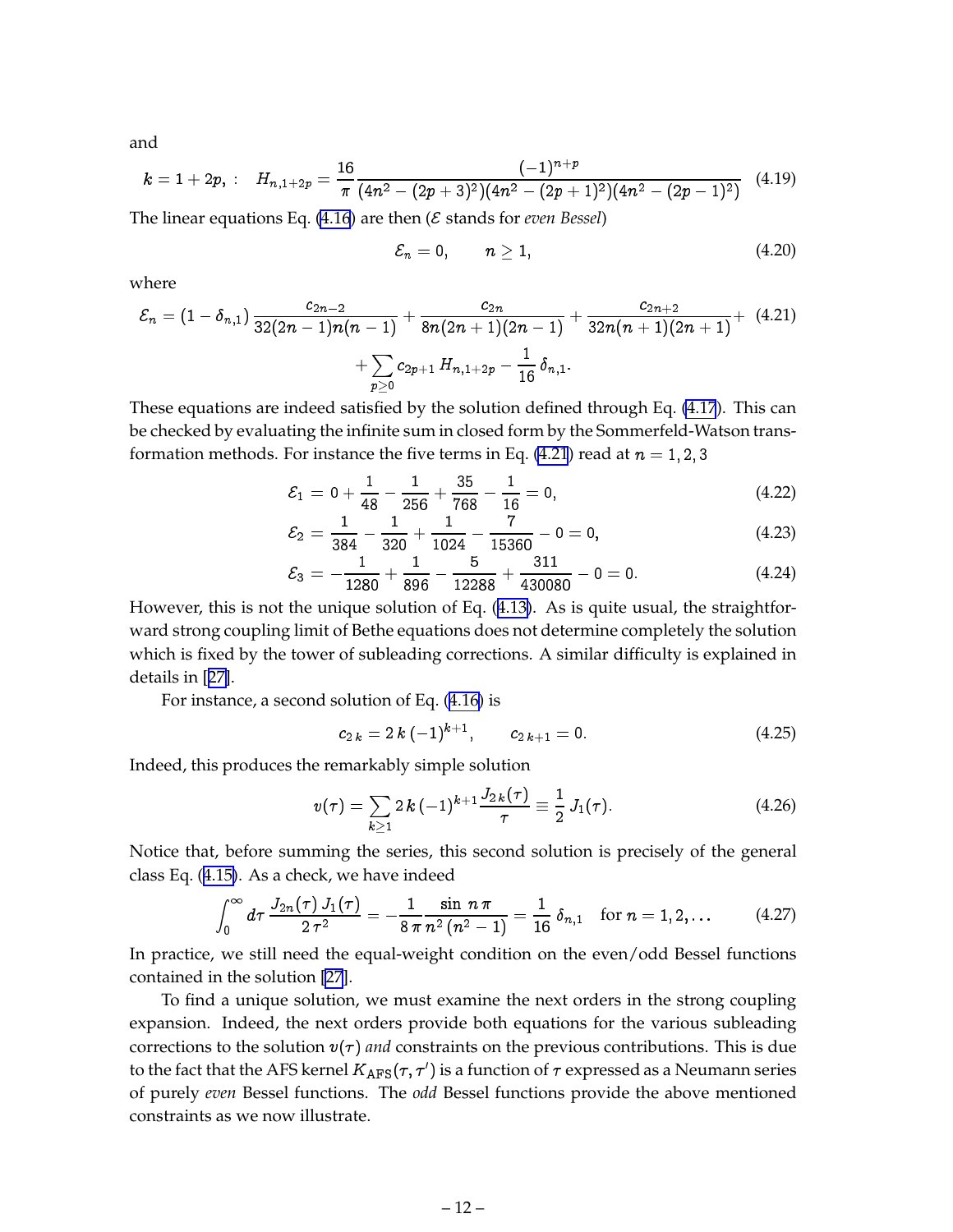and

$$
k = 1 + 2p, \; : \quad H_{n, 1+2p} = \frac{16}{\pi} \frac{(-1)^{n+p}}{(4n^2 - (2p+3)^2)(4n^2 - (2p+1)^2)(4n^2 - (2p-1)^2)} \quad (4.19)
$$

The linear equations Eq.  $(4.16)$  $(4.16)$  are then  $(\mathcal{E}$  stands for *even Bessel*)

$$
\mathcal{E}_n=0,\qquad n\geq 1,\qquad \qquad (4.20)
$$

where

$$
\mathcal{E}_n = (1-\delta_{n,1})\frac{c_{2n-2}}{32(2n-1)n(n-1)} + \frac{c_{2n}}{8n(2n+1)(2n-1)} + \frac{c_{2n+2}}{32n(n+1)(2n+1)} + \frac{1}{2n(2n+1)(2n+1)} + \sum_{p\geq 0}c_{2p+1}\,H_{n,1+2p} - \frac{1}{16}\,\delta_{n,1}.
$$

These equations are indeed satisfied by the solution defined through Eq. [\(4.17](#page-12-0)). This can be checked by evaluating the infinite sum in closed form by the Sommerfeld-Watson transformation methods. For instance the five terms in Eq. (4.21) read at  $n = 1, 2, 3$ 

$$
\mathcal{E}_1 = 0 + \frac{1}{48} - \frac{1}{256} + \frac{35}{768} - \frac{1}{16} = 0, \tag{4.22}
$$

$$
\mathcal{E}_2 = \frac{1}{384} - \frac{1}{320} + \frac{1}{1024} - \frac{7}{15360} - 0 = 0, \tag{4.23}
$$

$$
\mathcal{E}_3 = -\frac{1}{1280} + \frac{1}{896} - \frac{5}{12288} + \frac{311}{430080} - 0 = 0. \tag{4.24}
$$

However, this is not the unique solution of Eq. ([4.13\)](#page-12-0). As is quite usual, the straightforward strong coupling limit of Bethe equations does not determine completely the solution which is fixed by the tower of subleading corrections. A similar difficulty is explained in details in [[27\]](#page-19-0).

For instance, a second solution of Eq. ([4.16\)](#page-12-0) is

$$
c_{2\,k} = 2\,k\,(-1)^{k+1}, \qquad c_{2\,k+1} = 0. \tag{4.25}
$$

Indeed, this produces the remarkably simple solution

$$
v(\tau) = \sum_{k \geq 1} 2 k (-1)^{k+1} \frac{J_{2k}(\tau)}{\tau} \equiv \frac{1}{2} J_1(\tau). \tag{4.26}
$$

Notice that, before summing the series, this second solution is precisely of the general class Eq. ([4.15\)](#page-12-0). As a check, we have indeed

$$
\int_0^\infty d\tau \, \frac{J_{2n}(\tau) J_1(\tau)}{2 \, \tau^2} = -\frac{1}{8 \, \pi} \frac{\sin n \, \pi}{n^2 \, (n^2-1)} = \frac{1}{16} \, \delta_{n,1} \quad \text{for } n = 1, 2, \ldots \tag{4.27}
$$

In practice, we still need the equal-weight condition on the even/odd Bessel functions contained in the solution [\[27](#page-19-0)].

To find a unique solution, we must examine the next orders in the strong coupling expansion. Indeed, the next orders provide both equations for the various subleading corrections to the solution  $v(\tau)$  *and* constraints on the previous contributions. This is due to the fact that the AFS kernel  $K_{\text{AFS}}(\tau,\tau')$  is a function of  $\tau$  expressed as a Neumann series of purely *even* Bessel functions. The *odd* Bessel functions provide the above mentioned constraints as we now illustrate.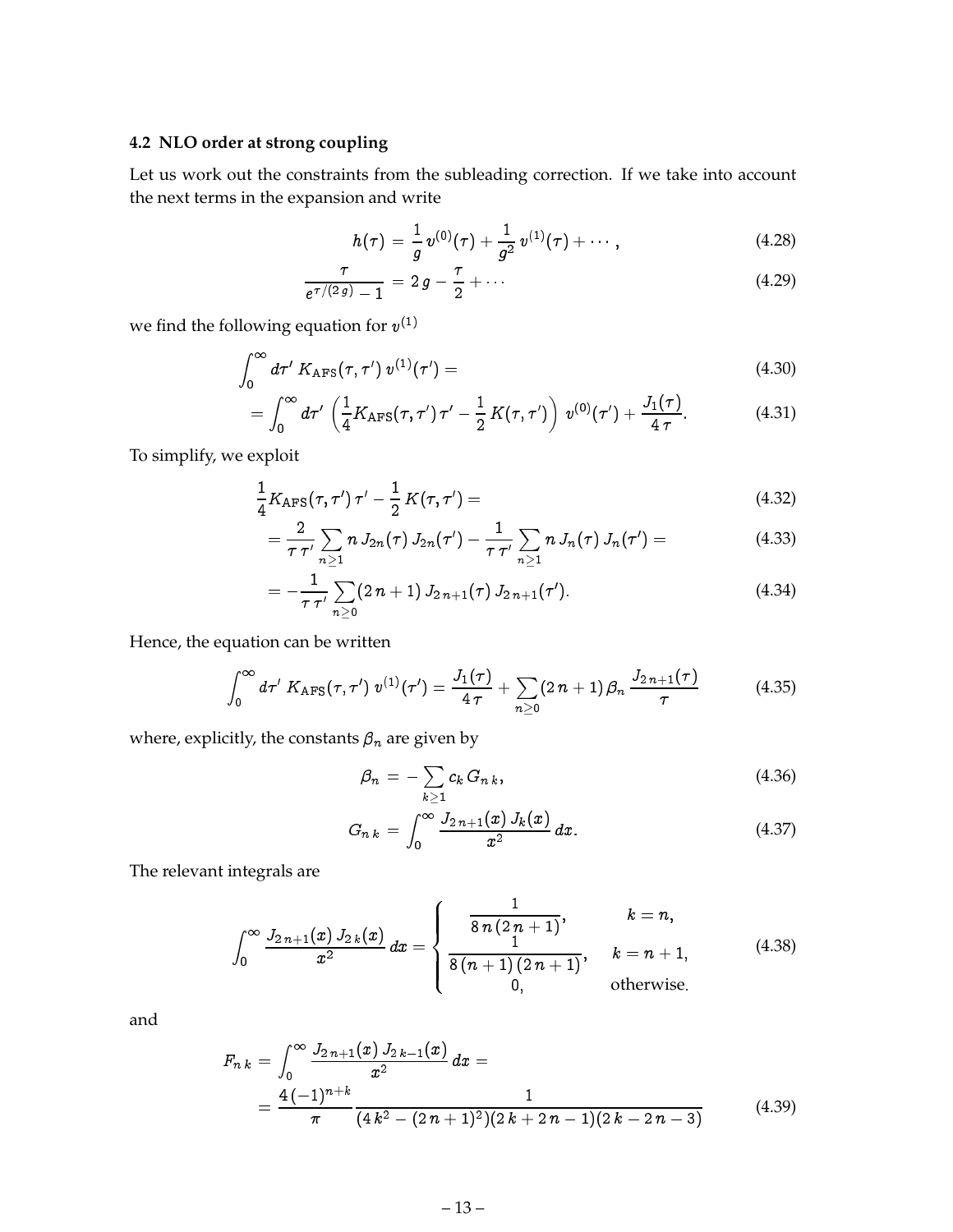#### <span id="page-14-0"></span>**4.2 NLO order at strong coupling**

Let us work out the constraints from the subleading correction. If we take into account the next terms in the expansion and write

$$
h(\tau) = \frac{1}{g} v^{(0)}(\tau) + \frac{1}{g^2} v^{(1)}(\tau) + \cdots, \qquad (4.28)
$$

$$
\frac{\tau}{e^{\tau/(2g)} - 1} = 2g - \frac{\tau}{2} + \cdots \tag{4.29}
$$

we find the following equation for  $v^{(1)}$ 

$$
\int_0^\infty d\tau' K_{\rm APS}(\tau,\tau')\,v^{(1)}(\tau') = \qquad \qquad (4.30)
$$

$$
= \int_0^\infty d\tau' \, \left( \frac{1}{4} K_{\rm APS}(\tau,\tau') \, \tau' - \frac{1}{2} \, K(\tau,\tau') \right) \, v^{(0)}(\tau') + \frac{J_1(\tau)}{4 \, \tau} . \tag{4.31}
$$

To simplify, we exploit

$$
\frac{1}{4}K_{\rm AFS}(\tau,\tau')\,\tau'-\frac{1}{2}\,K(\tau,\tau')=\tag{4.32}
$$

$$
= \frac{2}{\tau \tau'} \sum_{n \geq 1} n J_{2n}(\tau) J_{2n}(\tau') - \frac{1}{\tau \tau'} \sum_{n \geq 1} n J_n(\tau) J_n(\tau') = \qquad (4.33)
$$

$$
= -\frac{1}{\tau \tau'} \sum_{n\geq 0} (2 n + 1) J_{2n+1}(\tau) J_{2n+1}(\tau'). \qquad (4.34)
$$

Hence, the equation can be written

$$
\int_0^\infty d\tau' K_{\rm AFS}(\tau,\tau')\,v^{(1)}(\tau')=\frac{J_1(\tau)}{4\,\tau}+\sum_{n\geq 0}(2\,n+1)\beta_n\,\frac{J_{2\,n+1}(\tau)}{\tau}\qquad\qquad(4.35)
$$

where, explicitly, the constants  $\beta_n$  are given by

$$
\beta_n = -\sum_{k\geq 1} c_k G_{n,k},\tag{4.36}
$$

$$
G_{n\,k} \,=\, \int_0^\infty \frac{J_{2\,n+1}(x)\,J_k(x)}{x^2}\,dx. \tag{4.37}
$$

The relevant integrals are

$$
\int_0^\infty \frac{J_{2n+1}(x) J_{2k}(x)}{x^2} dx = \begin{cases} \frac{1}{8n(2n+1)}, & k = n, \\ \frac{1}{8(n+1)(2n+1)}, & k = n+1, \\ 0, & \text{otherwise.} \end{cases}
$$
(4.38)

and

$$
F_{n\,k} = \int_0^\infty \frac{J_{2\,n+1}(x)\,J_{2\,k-1}(x)}{x^2}\,dx = \frac{4\,(-1)^{n+k}}{\pi} \frac{1}{(4\,k^2 - (2\,n+1)^2)(2\,k+2\,n-1)(2\,k-2\,n-3)}\tag{4.39}
$$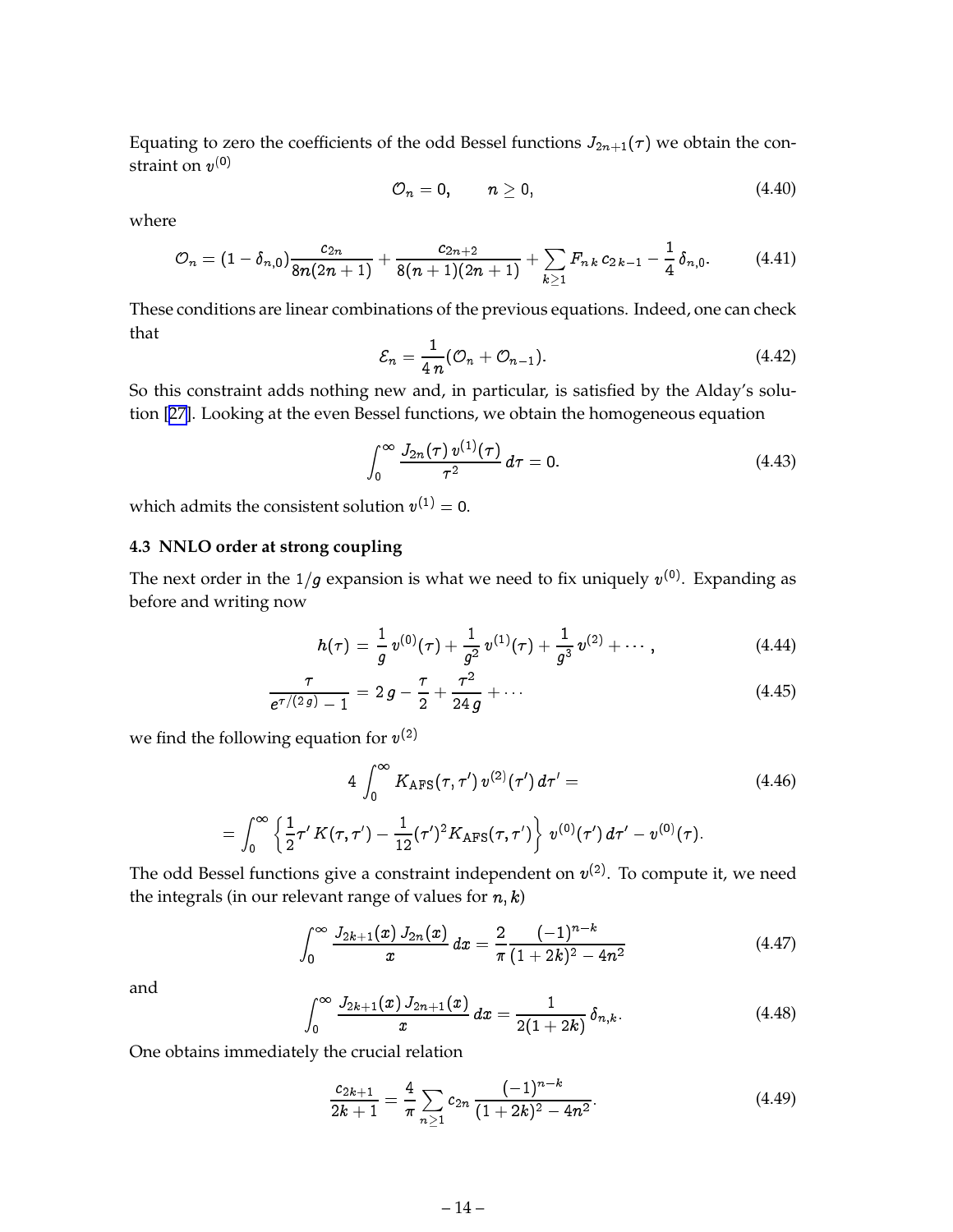<span id="page-15-0"></span>Equating to zero the coefficients of the odd Bessel functions  $J_{2n+1}(\tau)$  we obtain the constraint on  $v^{(0)}$ 

$$
{\cal O}_n=0,\qquad n\ge 0,\qquad \qquad (4.40)
$$

where

$$
O_n = (1 - \delta_{n,0}) \frac{c_{2n}}{8n(2n+1)} + \frac{c_{2n+2}}{8(n+1)(2n+1)} + \sum_{k \geq 1} F_{nk} c_{2k-1} - \frac{1}{4} \delta_{n,0}.
$$
 (4.41)

These conditions are linear combinations of the previous equations. Indeed, one can check that

$$
\mathcal{E}_n = \frac{1}{4\,n}(\mathcal{O}_n + \mathcal{O}_{n-1}).\tag{4.42}
$$

So this constraint adds nothing new and, in particular, is satisfied by the Alday's solution [[27\]](#page-19-0). Looking at the even Bessel functions, we obtain the homogeneous equation

$$
\int_0^\infty \frac{J_{2n}(\tau) v^{(1)}(\tau)}{\tau^2} d\tau = 0.
$$
 (4.43)

which admits the consistent solution  $v^{(1)} = 0$ .

#### **4.3 NNLO order at strong coupling**

The next order in the  $1/g$  expansion is what we need to fix uniquely  $v^{(0)}$ . Expanding as before and writing now

$$
h(\tau) = \frac{1}{g} v^{(0)}(\tau) + \frac{1}{g^2} v^{(1)}(\tau) + \frac{1}{g^3} v^{(2)} + \cdots,
$$
 (4.44)

$$
\frac{\tau}{e^{\tau/(2 g)} - 1} = 2 g - \frac{\tau}{2} + \frac{\tau^2}{24 g} + \cdots
$$
 (4.45)

we find the following equation for  $v^{(2)}$ 

$$
4 \int_0^{\infty} K_{\text{AFS}}(\tau, \tau') v^{(2)}(\tau') d\tau' =
$$
\n
$$
= \int_0^{\infty} \left\{ \frac{1}{2} \tau' K(\tau, \tau') - \frac{1}{12} (\tau')^2 K_{\text{AFS}}(\tau, \tau') \right\} v^{(0)}(\tau') d\tau' - v^{(0)}(\tau).
$$
\n(4.46)

The odd Bessel functions give a constraint independent on  $v^{(2)}$ . To compute it, we need the integrals (in our relevant range of values for  $n, k$ )

$$
\int_0^\infty \frac{J_{2k+1}(x) J_{2n}(x)}{x} dx = \frac{2}{\pi} \frac{(-1)^{n-k}}{(1+2k)^2 - 4n^2} \tag{4.47}
$$

and

$$
\int_0^\infty \frac{J_{2k+1}(x) J_{2n+1}(x)}{x} dx = \frac{1}{2(1+2k)} \delta_{n,k}.
$$
 (4.48)

One obtains immediately the crucial relation

$$
\frac{c_{2k+1}}{2k+1} = \frac{4}{\pi} \sum_{n\geq 1} c_{2n} \frac{(-1)^{n-k}}{(1+2k)^2 - 4n^2}.
$$
 (4.49)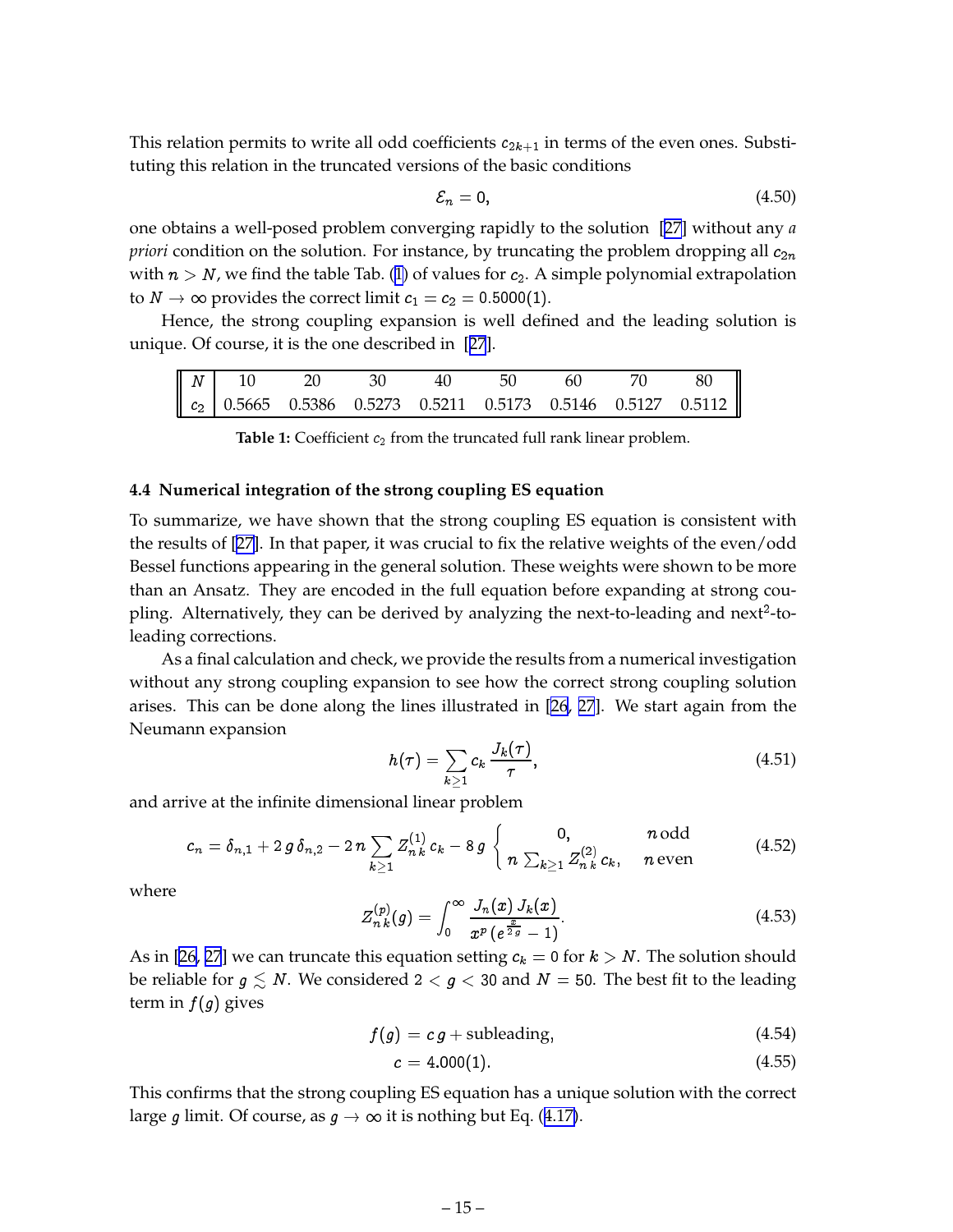<span id="page-16-0"></span>This relation permits to write all odd coefficients  $c_{2k+1}$  in terms of the even ones. Substituting this relation in the truncated versions of the basic conditions

$$
\mathcal{E}_n = 0,\tag{4.50}
$$

one obtains a well-posed problem converging rapidly to the solution [\[27](#page-19-0)] without any *a priori* condition on the solution. For instance, by truncating the problem dropping all  $c_{2n}$ with  $n > N$ , we find the table Tab. (1) of values for  $c_2$ . A simple polynomial extrapolation to  $N \to \infty$  provides the correct limit  $c_1 = c_2 = 0.5000(1)$ .

Hence, the strong coupling expansion is well defined and the leading solution is unique. Of course, it is the one described in [[27](#page-19-0)].

|  |  |  |  | $\begin{bmatrix} N & 10 & 20 & 30 & 40 & 50 & 60 & 70 & 80 \ c_2 & 0.5665 & 0.5386 & 0.5273 & 0.5211 & 0.5173 & 0.5146 & 0.5127 & 0.5112 \end{bmatrix}$ |
|--|--|--|--|---------------------------------------------------------------------------------------------------------------------------------------------------------|

**Table 1:** Coefficient  $c_2$  from the truncated full rank linear problem.

#### **4.4 Numerical integration of the strong coupling ES equation**

To summarize, we have shown that the strong coupling ES equation is consistent with the results of [\[27](#page-19-0)]. In that paper, it was crucial to fix the relative weights of the even/odd Bessel functions appearing in the general solution. These weights were shown to be more than an Ansatz. They are encoded in the full equation before expanding at strong coupling. Alternatively, they can be derived by analyzing the next-to-leading and next<sup>2</sup>-toleading corrections.

As a final calculation and check, we provide the results from a numerical investigation without any strong coupling expansion to see how the correct strong coupling solution arises. This can be done along the lines illustrated in [\[26](#page-19-0), [27](#page-19-0)]. We start again from the Neumann expansion

$$
h(\tau) = \sum_{k \ge 1} c_k \frac{J_k(\tau)}{\tau}, \qquad (4.51)
$$

and arrive at the infinite dimensional linear problem

$$
c_n = \delta_{n,1} + 2 g \, \delta_{n,2} - 2 n \sum_{k \geq 1} Z_{n,k}^{(1)} c_k - 8 g \begin{cases} 0, & n \text{ odd} \\ n \sum_{k \geq 1} Z_{n,k}^{(2)} c_k, & n \text{ even} \end{cases}
$$
(4.52)

where

$$
Z_{n\,k}^{(p)}(g) = \int_0^\infty \frac{J_n(x)\,J_k(x)}{x^p\,(e^{\frac{x}{2\,g}} - 1)}.\tag{4.53}
$$

As in [\[26](#page-19-0), [27](#page-19-0)] we can truncate this equation setting  $c_k = 0$  for  $k > N$ . The solution should be reliable for  $g \leq N$ . We considered  $2 < g < 30$  and  $N = 50$ . The best fit to the leading term in  $f(q)$  gives

$$
f(g) = c g + \text{subleading}, \tag{4.54}
$$

$$
c = 4.000(1). \t(4.55)
$$

This confirms that the strong coupling ES equation has a unique solution with the correct large g limit. Of course, as  $g \to \infty$  it is nothing but Eq. ([4.17\)](#page-12-0).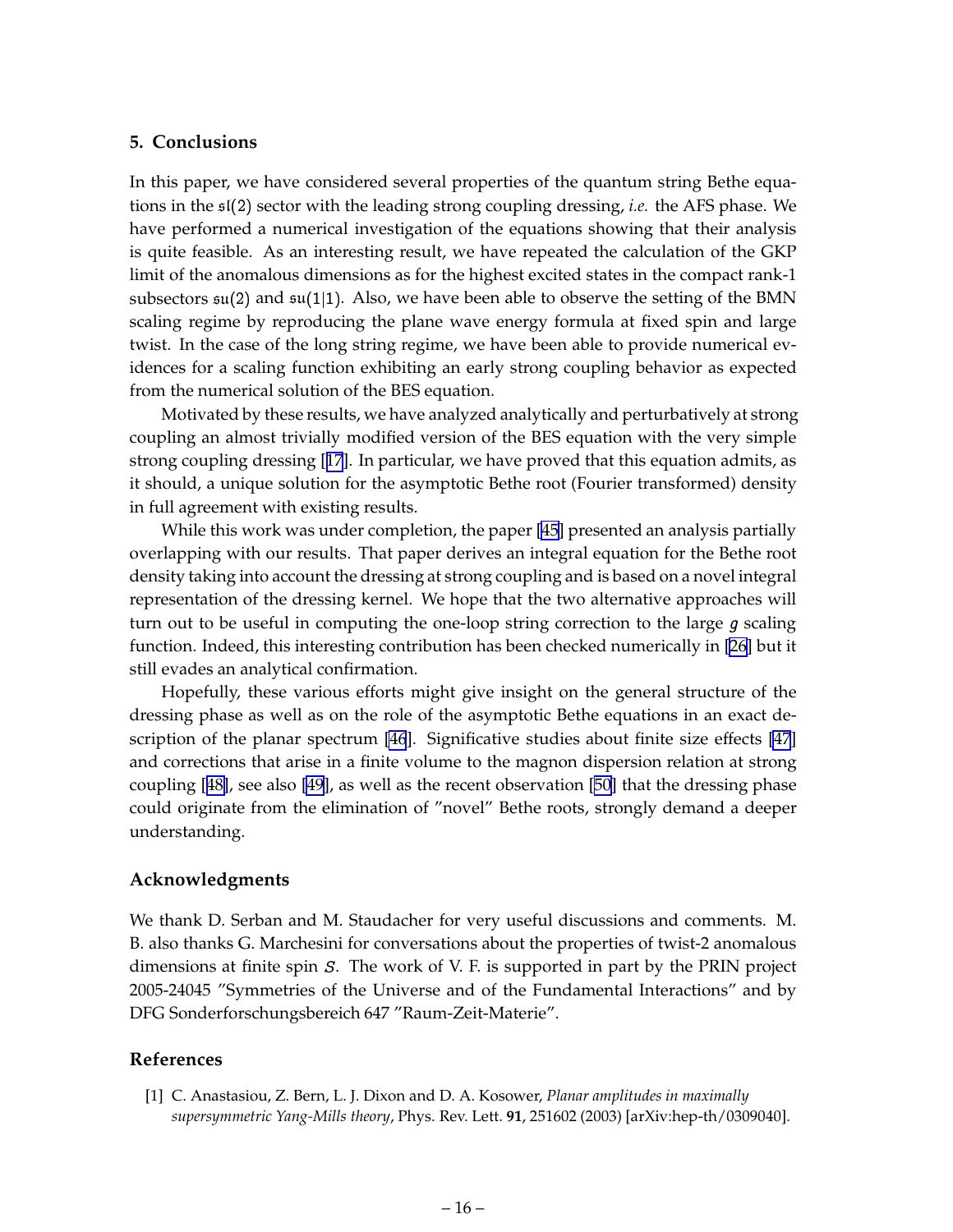#### <span id="page-17-0"></span>**5. Conclusions**

In this paper, we have considered several properties of the quantum string Bethe equations in the sl(2) sector with the leading strong coupling dressing, *i.e.* the AFS phase. We have performed a numerical investigation of the equations showing that their analysis is quite feasible. As an interesting result, we have repeated the calculation of the GKP limit of the anomalous dimensions as for the highest excited states in the compact rank-1 subsectors  $\mathfrak{su}(2)$  and  $\mathfrak{su}(1|1)$ . Also, we have been able to observe the setting of the BMN scaling regime by reproducing the plane wave energy formula at fixed spin and large twist. In the case of the long string regime, we have been able to provide numerical evidences for a scaling function exhibiting an early strong coupling behavior as expected from the numerical solution of the BES equation.

Motivated by these results, we have analyzed analytically and perturbatively at strong coupling an almost trivially modified version of the BES equation with the very simple strong coupling dressing [[17](#page-18-0)]. In particular, we have proved that this equation admits, as it should, a unique solution for the asymptotic Bethe root (Fourier transformed) density in full agreement with existing results.

While this work was under completion, the paper [\[45](#page-20-0)] presented an analysis partially overlapping with our results. That paper derives an integral equation for the Bethe root density taking into account the dressing at strong coupling and is based on a novel integral representation of the dressing kernel. We hope that the two alternative approaches will turn out to be useful in computing the one-loop string correction to the large  $g$  scaling function. Indeed, this interesting contribution has been checked numerically in [\[26\]](#page-19-0) but it still evades an analytical confirmation.

Hopefully, these various efforts might give insight on the general structure of the dressing phase as well as on the role of the asymptotic Bethe equations in an exact description of the planar spectrum [\[46](#page-20-0)]. Significative studies about finite size effects [\[47](#page-20-0)] and corrections that arise in a finite volume to the magnon dispersion relation at strong coupling [[48\]](#page-20-0), see also [\[49](#page-20-0)], as well as the recent observation [[50\]](#page-20-0) that the dressing phase could originate from the elimination of "novel" Bethe roots, strongly demand a deeper understanding.

#### **Acknowledgments**

We thank D. Serban and M. Staudacher for very useful discussions and comments. M. B. also thanks G. Marchesini for conversations about the properties of twist-2 anomalous dimensions at finite spin <sup>S</sup>. The work of V. F. is supported in part by the PRIN project 2005-24045 "Symmetries of the Universe and of the Fundamental Interactions" and by DFG Sonderforschungsbereich 647 "Raum-Zeit-Materie".

#### **References**

[1] C. Anastasiou, Z. Bern, L. J. Dixon and D. A. Kosower, *Planar amplitudes in maximally supersymmetric Yang-Mills theory*, Phys. Rev. Lett. **91**, 251602 (2003) [arXiv:hep-th/0309040].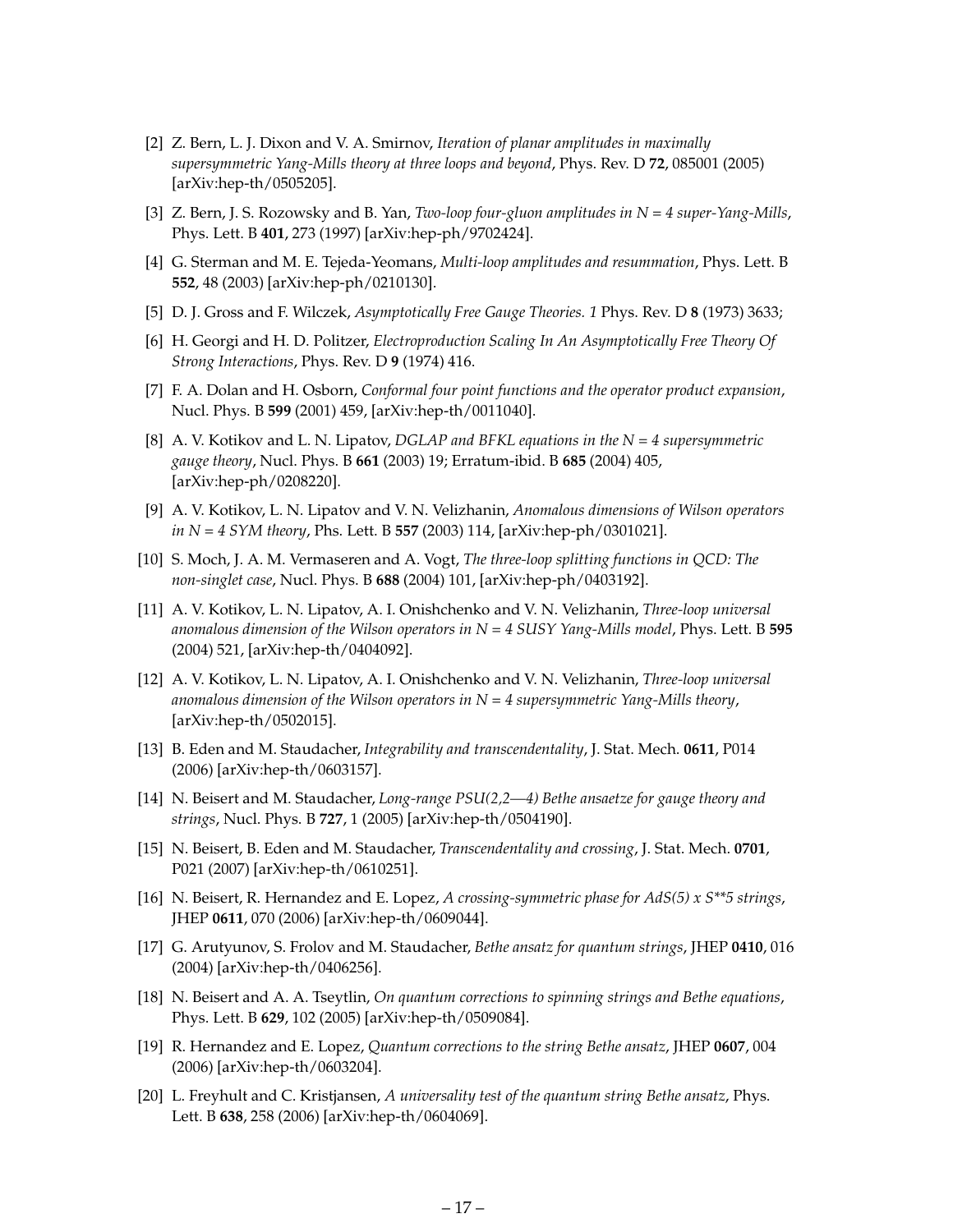- <span id="page-18-0"></span>[2] Z. Bern, L. J. Dixon and V. A. Smirnov, *Iteration of planar amplitudes in maximally supersymmetric Yang-Mills theory at three loops and beyond*, Phys. Rev. D **72**, 085001 (2005) [arXiv:hep-th/0505205].
- [3] Z. Bern, J. S. Rozowsky and B. Yan, *Two-loop four-gluon amplitudes in N = 4 super-Yang-Mills*, Phys. Lett. B **401**, 273 (1997) [arXiv:hep-ph/9702424].
- [4] G. Sterman and M. E. Tejeda-Yeomans, *Multi-loop amplitudes and resummation*, Phys. Lett. B **552**, 48 (2003) [arXiv:hep-ph/0210130].
- [5] D. J. Gross and F. Wilczek, *Asymptotically Free Gauge Theories. 1* Phys. Rev. D **8** (1973) 3633;
- [6] H. Georgi and H. D. Politzer, *Electroproduction Scaling In An Asymptotically Free Theory Of Strong Interactions*, Phys. Rev. D **9** (1974) 416.
- [7] F. A. Dolan and H. Osborn, *Conformal four point functions and the operator product expansion*, Nucl. Phys. B **599** (2001) 459, [arXiv:hep-th/0011040].
- [8] A. V. Kotikov and L. N. Lipatov, *DGLAP and BFKL equations in the N = 4 supersymmetric gauge theory*, Nucl. Phys. B **661** (2003) 19; Erratum-ibid. B **685** (2004) 405, [arXiv:hep-ph/0208220].
- [9] A. V. Kotikov, L. N. Lipatov and V. N. Velizhanin, *Anomalous dimensions of Wilson operators in N = 4 SYM theory*, Phs. Lett. B **557** (2003) 114, [arXiv:hep-ph/0301021].
- [10] S. Moch, J. A. M. Vermaseren and A. Vogt, *The three-loop splitting functions in QCD: The non-singlet case*, Nucl. Phys. B **688** (2004) 101, [arXiv:hep-ph/0403192].
- [11] A. V. Kotikov, L. N. Lipatov, A. I. Onishchenko and V. N. Velizhanin, *Three-loop universal anomalous dimension of the Wilson operators in N = 4 SUSY Yang-Mills model*, Phys. Lett. B **595** (2004) 521, [arXiv:hep-th/0404092].
- [12] A. V. Kotikov, L. N. Lipatov, A. I. Onishchenko and V. N. Velizhanin, *Three-loop universal anomalous dimension of the Wilson operators in N = 4 supersymmetric Yang-Mills theory*, [arXiv:hep-th/0502015].
- [13] B. Eden and M. Staudacher, *Integrability and transcendentality*, J. Stat. Mech. **0611**, P014 (2006) [arXiv:hep-th/0603157].
- [14] N. Beisert and M. Staudacher, *Long-range PSU(2,2—4) Bethe ansaetze for gauge theory and strings*, Nucl. Phys. B **727**, 1 (2005) [arXiv:hep-th/0504190].
- [15] N. Beisert, B. Eden and M. Staudacher, *Transcendentality and crossing*, J. Stat. Mech. **0701**, P021 (2007) [arXiv:hep-th/0610251].
- [16] N. Beisert, R. Hernandez and E. Lopez, *A crossing-symmetric phase for AdS(5) x S\*\*5 strings*, JHEP **0611**, 070 (2006) [arXiv:hep-th/0609044].
- [17] G. Arutyunov, S. Frolov and M. Staudacher, *Bethe ansatz for quantum strings*, JHEP **0410**, 016 (2004) [arXiv:hep-th/0406256].
- [18] N. Beisert and A. A. Tseytlin, *On quantum corrections to spinning strings and Bethe equations*, Phys. Lett. B **629**, 102 (2005) [arXiv:hep-th/0509084].
- [19] R. Hernandez and E. Lopez, *Quantum corrections to the string Bethe ansatz*, JHEP **0607**, 004 (2006) [arXiv:hep-th/0603204].
- [20] L. Freyhult and C. Kristjansen, *A universality test of the quantum string Bethe ansatz*, Phys. Lett. B **638**, 258 (2006) [arXiv:hep-th/0604069].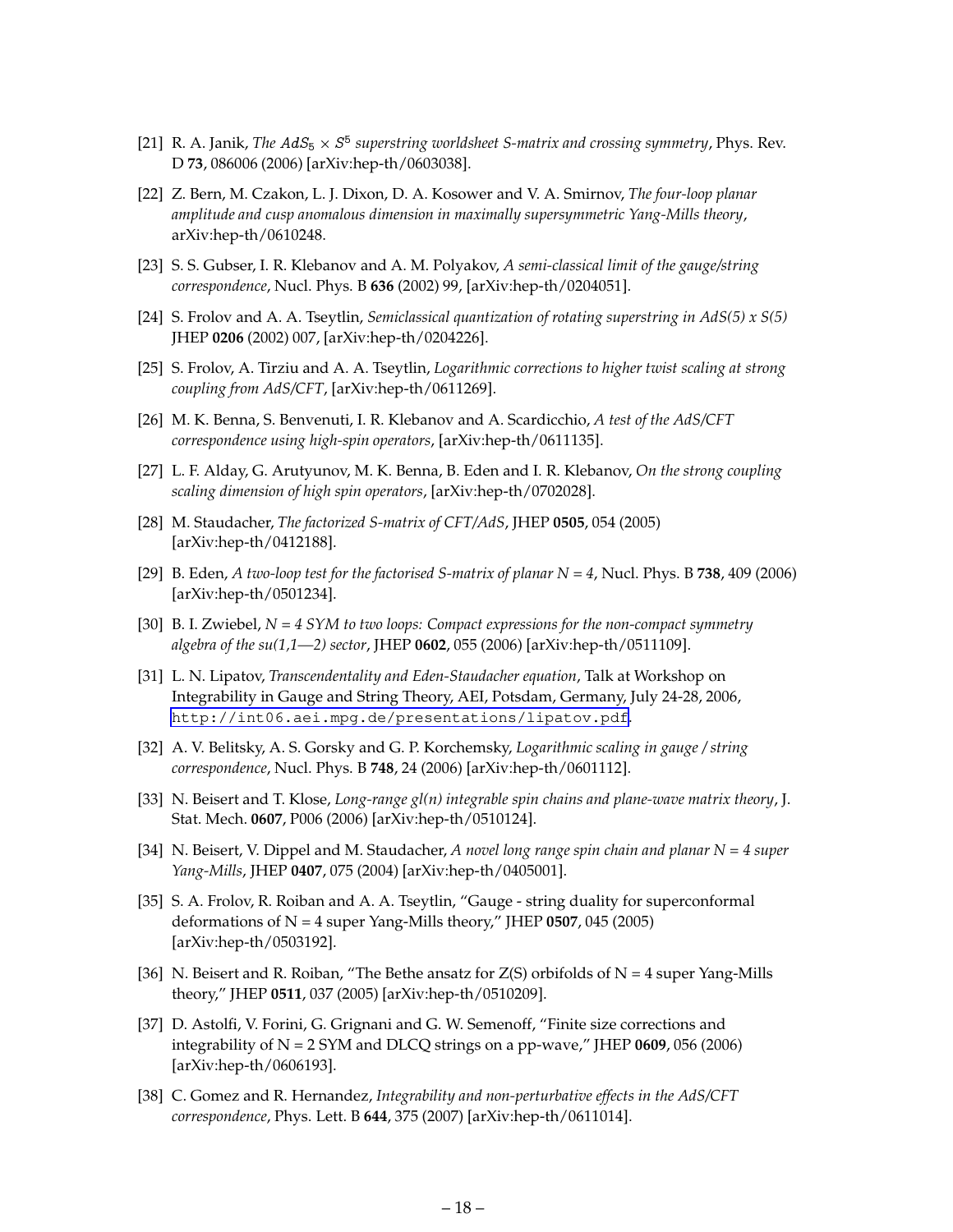- <span id="page-19-0"></span>[21] R. A. Janik, *The AdS*<sub>5</sub>  $\times$  *S*<sup>5</sup> superstring worldsheet S-matrix and crossing symmetry, Phys. Rev. D **73**, 086006 (2006) [arXiv:hep-th/0603038].
- [22] Z. Bern, M. Czakon, L. J. Dixon, D. A. Kosower and V. A. Smirnov, *The four-loop planar amplitude and cusp anomalous dimension in maximally supersymmetric Yang-Mills theory*, arXiv:hep-th/0610248.
- [23] S. S. Gubser, I. R. Klebanov and A. M. Polyakov, *A semi-classical limit of the gauge/string correspondence*, Nucl. Phys. B **636** (2002) 99, [arXiv:hep-th/0204051].
- [24] S. Frolov and A. A. Tseytlin, *Semiclassical quantization of rotating superstring in AdS(5) x S(5)* JHEP **0206** (2002) 007, [arXiv:hep-th/0204226].
- [25] S. Frolov, A. Tirziu and A. A. Tseytlin, *Logarithmic corrections to higher twist scaling at strong coupling from AdS/CFT*, [arXiv:hep-th/0611269].
- [26] M. K. Benna, S. Benvenuti, I. R. Klebanov and A. Scardicchio, *A test of the AdS/CFT correspondence using high-spin operators*, [arXiv:hep-th/0611135].
- [27] L. F. Alday, G. Arutyunov, M. K. Benna, B. Eden and I. R. Klebanov, *On the strong coupling scaling dimension of high spin operators*, [arXiv:hep-th/0702028].
- [28] M. Staudacher, *The factorized S-matrix of CFT/AdS*, JHEP **0505**, 054 (2005) [arXiv:hep-th/0412188].
- [29] B. Eden, *A two-loop test for the factorised S-matrix of planar N = 4*, Nucl. Phys. B **738**, 409 (2006) [arXiv:hep-th/0501234].
- [30] B. I. Zwiebel, *N = 4 SYM to two loops: Compact expressions for the non-compact symmetry algebra of the su(1,1—2) sector*, JHEP **0602**, 055 (2006) [arXiv:hep-th/0511109].
- [31] L. N. Lipatov, *Transcendentality and Eden-Staudacher equation*, Talk at Workshop on Integrability in Gauge and String Theory, AEI, Potsdam, Germany, July 24-28, 2006, <http://int06.aei.mpg.de/presentations/lipatov.pdf>.
- [32] A. V. Belitsky, A. S. Gorsky and G. P. Korchemsky, *Logarithmic scaling in gauge / string correspondence*, Nucl. Phys. B **748**, 24 (2006) [arXiv:hep-th/0601112].
- [33] N. Beisert and T. Klose, *Long-range gl(n) integrable spin chains and plane-wave matrix theory*, J. Stat. Mech. **0607**, P006 (2006) [arXiv:hep-th/0510124].
- [34] N. Beisert, V. Dippel and M. Staudacher, *A novel long range spin chain and planar N = 4 super Yang-Mills*, JHEP **0407**, 075 (2004) [arXiv:hep-th/0405001].
- [35] S. A. Frolov, R. Roiban and A. A. Tseytlin, "Gauge string duality for superconformal deformations of N = 4 super Yang-Mills theory," JHEP **0507**, 045 (2005) [arXiv:hep-th/0503192].
- [36] N. Beisert and R. Roiban, "The Bethe ansatz for  $Z(S)$  orbifolds of  $N = 4$  super Yang-Mills theory," JHEP **0511**, 037 (2005) [arXiv:hep-th/0510209].
- [37] D. Astolfi, V. Forini, G. Grignani and G. W. Semenoff, "Finite size corrections and integrability of N = 2 SYM and DLCQ strings on a pp-wave," JHEP **0609**, 056 (2006) [arXiv:hep-th/0606193].
- [38] C. Gomez and R. Hernandez, *Integrability and non-perturbative effects in the AdS/CFT correspondence*, Phys. Lett. B **644**, 375 (2007) [arXiv:hep-th/0611014].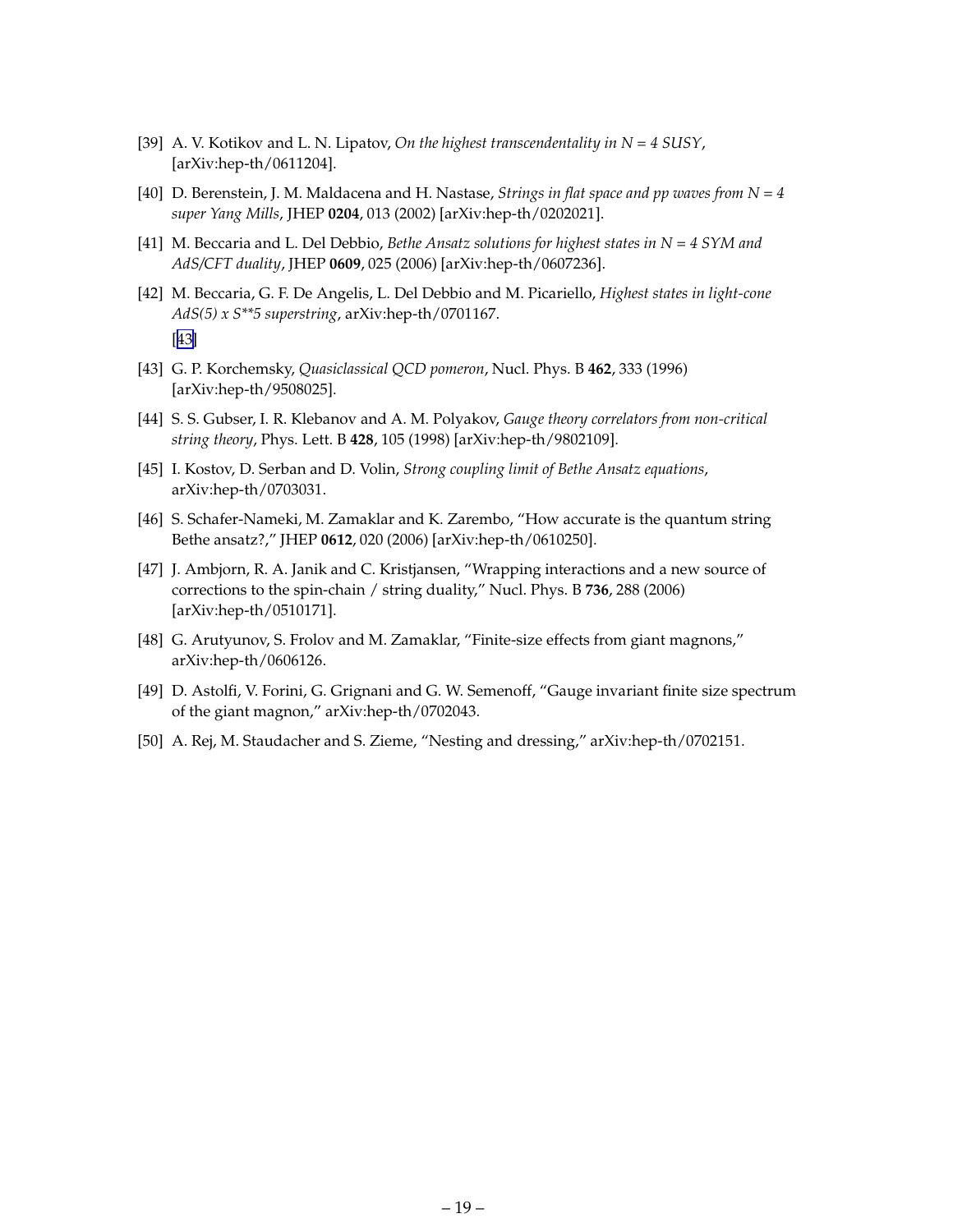- <span id="page-20-0"></span>[39] A. V. Kotikov and L. N. Lipatov, *On the highest transcendentality in N = 4 SUSY*, [arXiv:hep-th/0611204].
- [40] D. Berenstein, J. M. Maldacena and H. Nastase, *Strings in flat space and pp waves from N = 4 super Yang Mills*, JHEP **0204**, 013 (2002) [arXiv:hep-th/0202021].
- [41] M. Beccaria and L. Del Debbio, *Bethe Ansatz solutions for highest states in N = 4 SYM and AdS/CFT duality*, JHEP **0609**, 025 (2006) [arXiv:hep-th/0607236].
- [42] M. Beccaria, G. F. De Angelis, L. Del Debbio and M. Picariello, *Highest states in light-cone AdS(5) x S\*\*5 superstring*, arXiv:hep-th/0701167. [43]
- [43] G. P. Korchemsky, *Quasiclassical QCD pomeron*, Nucl. Phys. B **462**, 333 (1996) [arXiv:hep-th/9508025].
- [44] S. S. Gubser, I. R. Klebanov and A. M. Polyakov, *Gauge theory correlators from non-critical string theory*, Phys. Lett. B **428**, 105 (1998) [arXiv:hep-th/9802109].
- [45] I. Kostov, D. Serban and D. Volin, *Strong coupling limit of Bethe Ansatz equations*, arXiv:hep-th/0703031.
- [46] S. Schafer-Nameki, M. Zamaklar and K. Zarembo, "How accurate is the quantum string Bethe ansatz?," JHEP **0612**, 020 (2006) [arXiv:hep-th/0610250].
- [47] J. Ambjorn, R. A. Janik and C. Kristjansen, "Wrapping interactions and a new source of corrections to the spin-chain / string duality," Nucl. Phys. B **736**, 288 (2006) [arXiv:hep-th/0510171].
- [48] G. Arutyunov, S. Frolov and M. Zamaklar, "Finite-size effects from giant magnons," arXiv:hep-th/0606126.
- [49] D. Astolfi, V. Forini, G. Grignani and G. W. Semenoff, "Gauge invariant finite size spectrum of the giant magnon," arXiv:hep-th/0702043.
- [50] A. Rej, M. Staudacher and S. Zieme, "Nesting and dressing," arXiv:hep-th/0702151.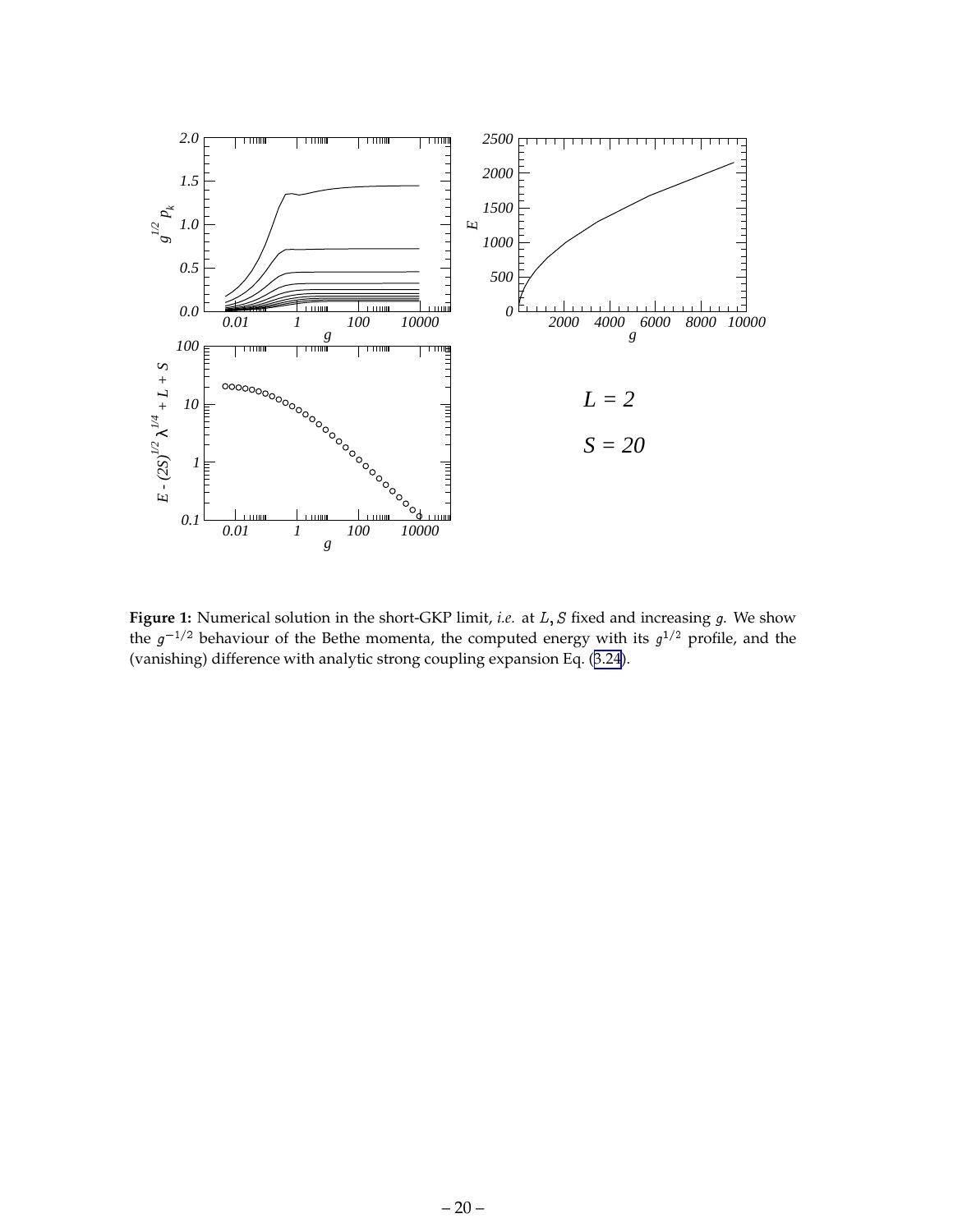<span id="page-21-0"></span>

Figure 1: Numerical solution in the short-GKP limit, *i.e.* at *L*, *S* fixed and increasing *g*. We show the  $g^{-1/2}$  behaviour of the Bethe momenta, the computed energy with its  $g^{1/2}$  profile, and the (vanishing) difference with analytic strong coupling expansion Eq. ([3.24](#page-10-0)).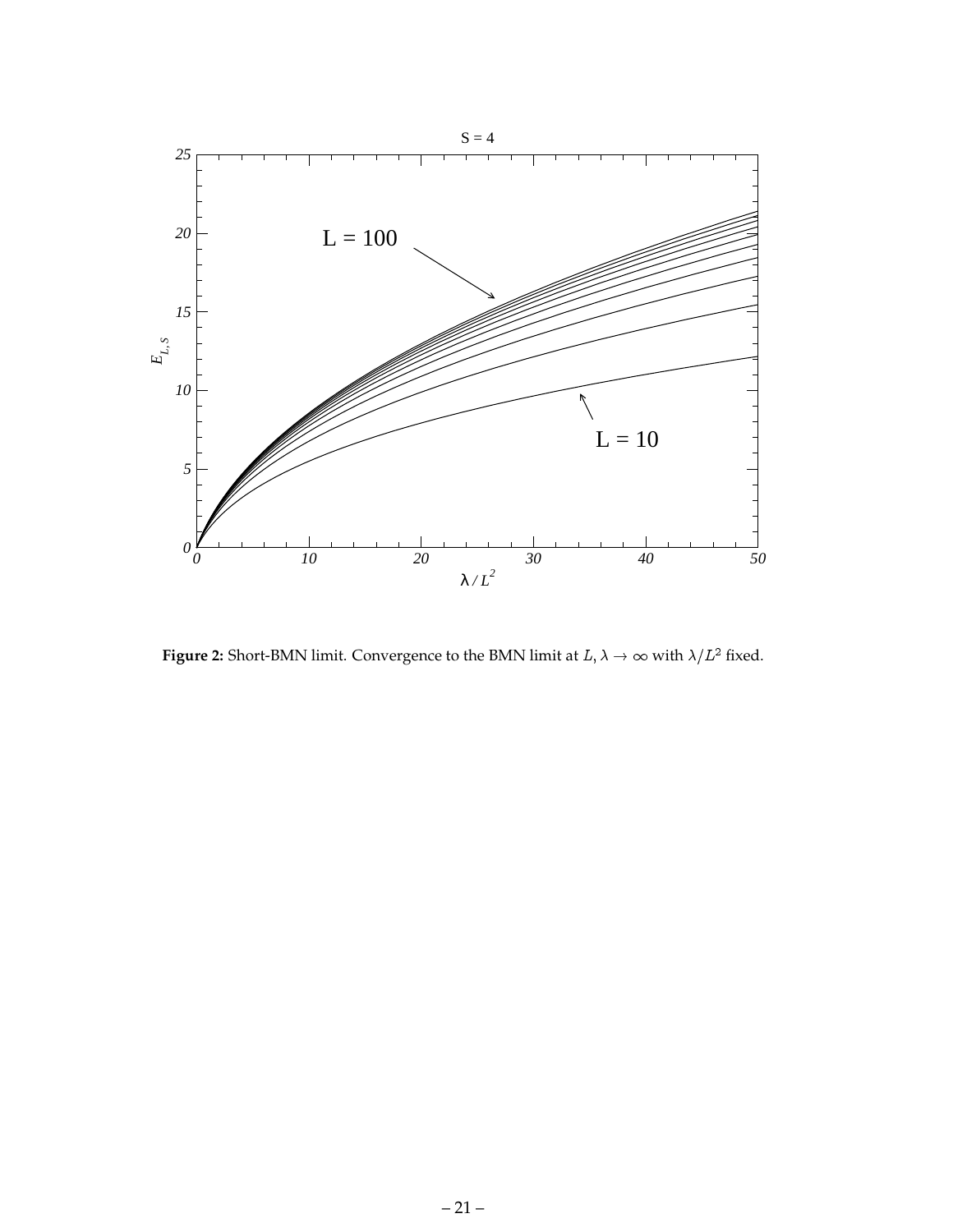<span id="page-22-0"></span>

**Figure 2:** Short-BMN limit. Convergence to the BMN limit at  $L, \lambda \rightarrow \infty$  with  $\lambda/L^2$  fixed.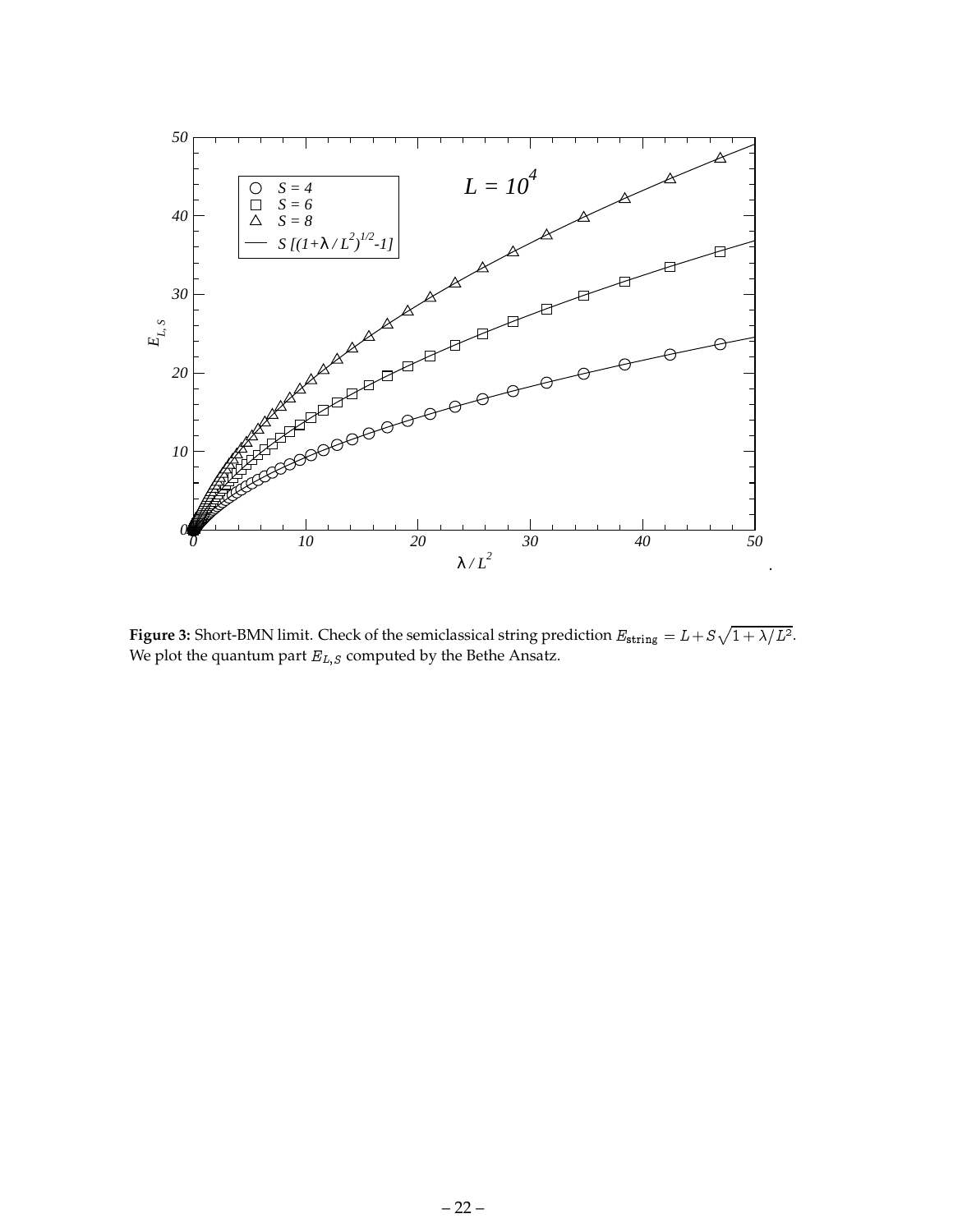<span id="page-23-0"></span>

**Figure 3:** Short-BMN limit. Check of the semiclassical string prediction  $E_{\text{string}} = L + S\sqrt{1 + \lambda/L^2}$ . We plot the quantum part  $E_{L,S}$  computed by the Bethe Ansatz.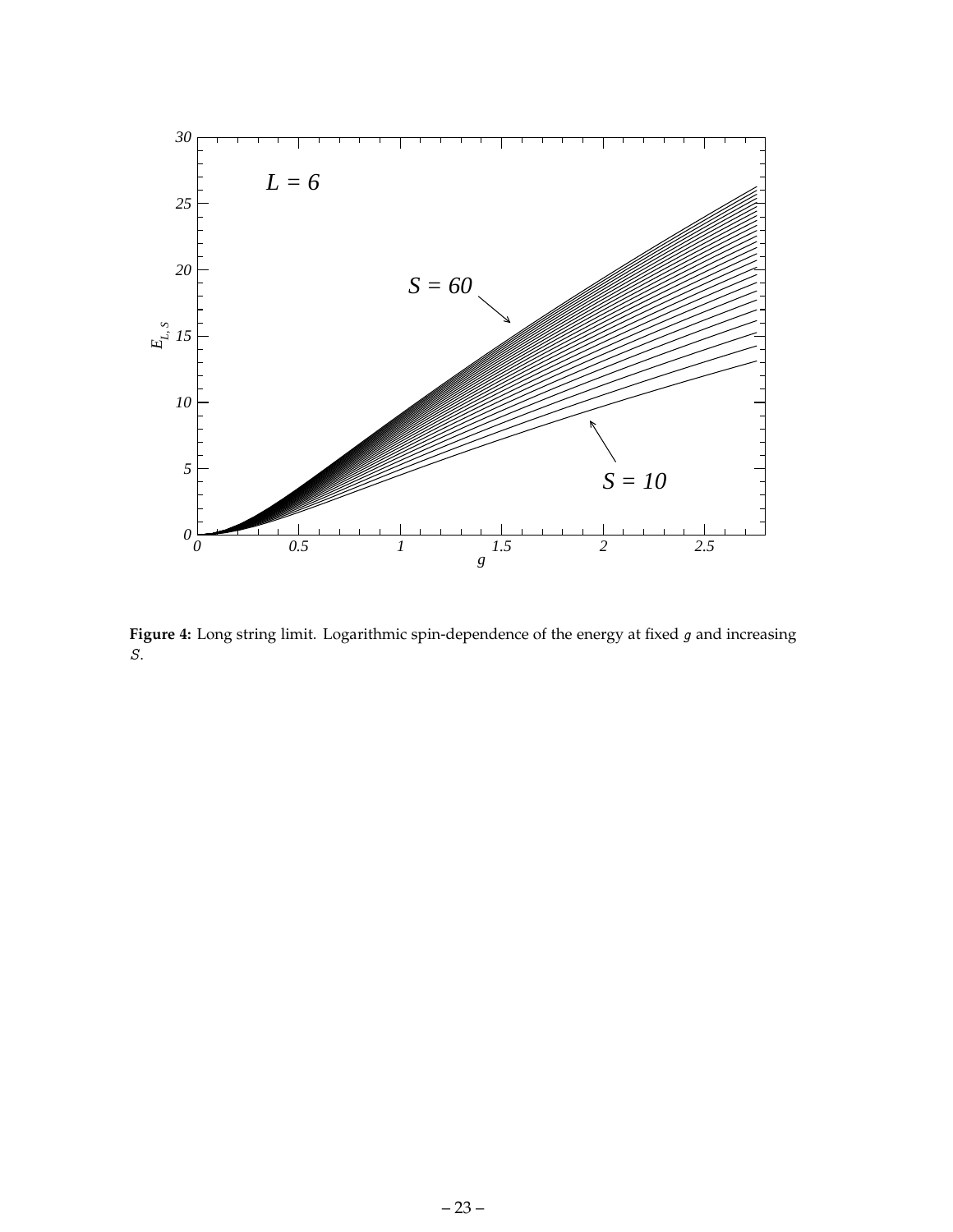<span id="page-24-0"></span>

Figure 4: Long string limit. Logarithmic spin-dependence of the energy at fixed g and increasing S.